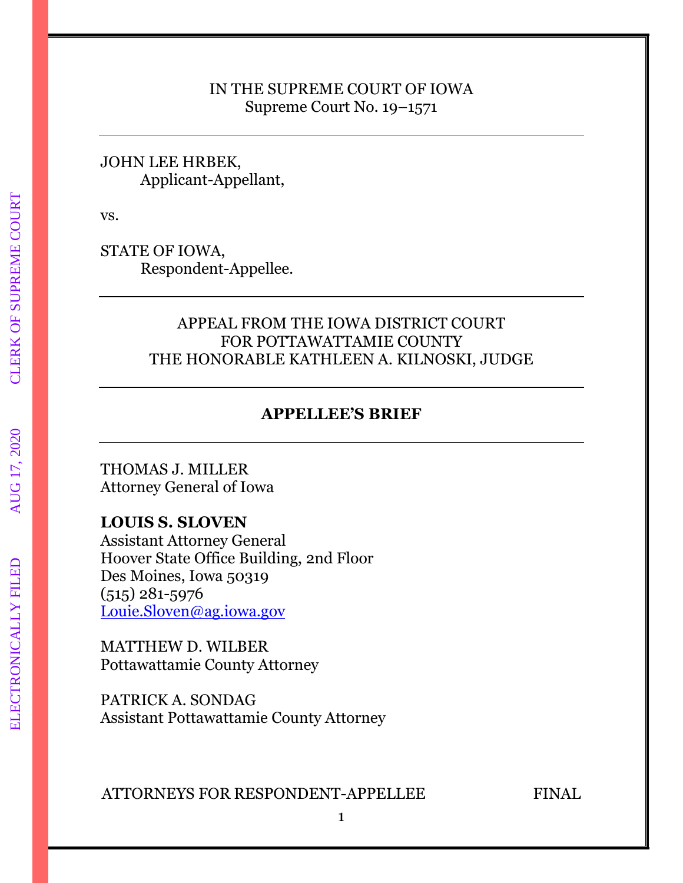#### IN THE SUPREME COURT OF IOWA Supreme Court No. 19–1571

#### JOHN LEE HRBEK, Applicant-Appellant,

vs.

STATE OF IOWA, Respondent-Appellee.

### APPEAL FROM THE IOWA DISTRICT COURT FOR POTTAWATTAMIE COUNTY THE HONORABLE KATHLEEN A. KILNOSKI, JUDGE

### **APPELLEE'S BRIEF**

THOMAS J. MILLER Attorney General of Iowa

#### **LOUIS S. SLOVEN**

Assistant Attorney General Hoover State Office Building, 2nd Floor Des Moines, Iowa 50319 (515) 281-5976 [Louie.Sloven@ag.iowa.gov](mailto:Louie.Sloven@ag.iowa.gov)

MATTHEW D. WILBER Pottawattamie County Attorney

PATRICK A. SONDAG Assistant Pottawattamie County Attorney

ATTORNEYS FOR RESPONDENT-APPELLEE FINAL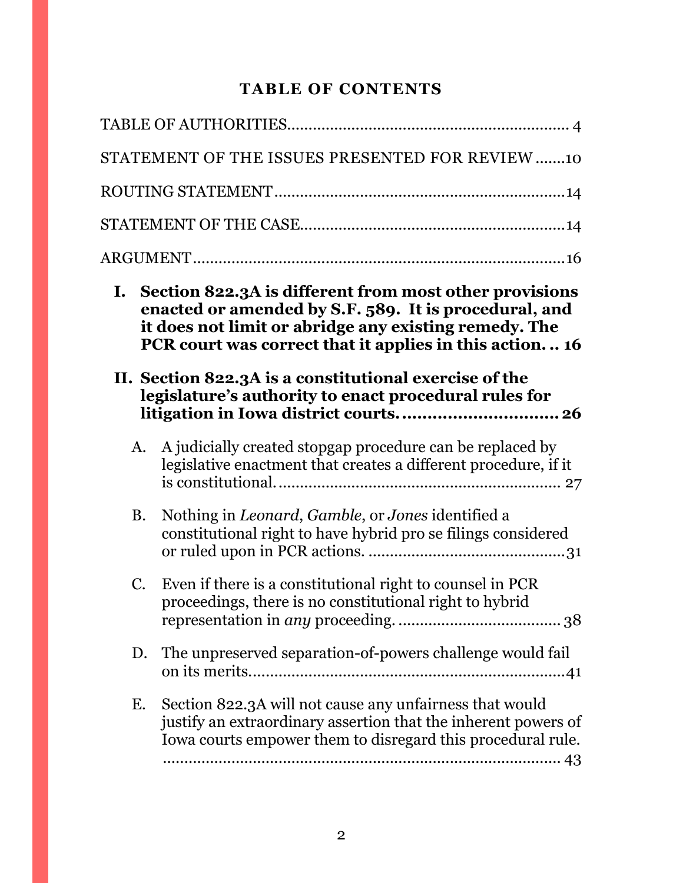## **TABLE OF CONTENTS**

|           | STATEMENT OF THE ISSUES PRESENTED FOR REVIEW 10                                                                                                                                                                                     |
|-----------|-------------------------------------------------------------------------------------------------------------------------------------------------------------------------------------------------------------------------------------|
|           |                                                                                                                                                                                                                                     |
|           |                                                                                                                                                                                                                                     |
|           |                                                                                                                                                                                                                                     |
| I.        | Section 822.3A is different from most other provisions<br>enacted or amended by S.F. 589. It is procedural, and<br>it does not limit or abridge any existing remedy. The<br>PCR court was correct that it applies in this action 16 |
|           | II. Section 822.3A is a constitutional exercise of the<br>legislature's authority to enact procedural rules for                                                                                                                     |
| A.        | A judicially created stopgap procedure can be replaced by<br>legislative enactment that creates a different procedure, if it                                                                                                        |
|           |                                                                                                                                                                                                                                     |
| <b>B.</b> | Nothing in <i>Leonard</i> , <i>Gamble</i> , or <i>Jones</i> identified a<br>constitutional right to have hybrid pro se filings considered                                                                                           |
| C.        | Even if there is a constitutional right to counsel in PCR<br>proceedings, there is no constitutional right to hybrid                                                                                                                |
| D.        | The unpreserved separation-of-powers challenge would fail                                                                                                                                                                           |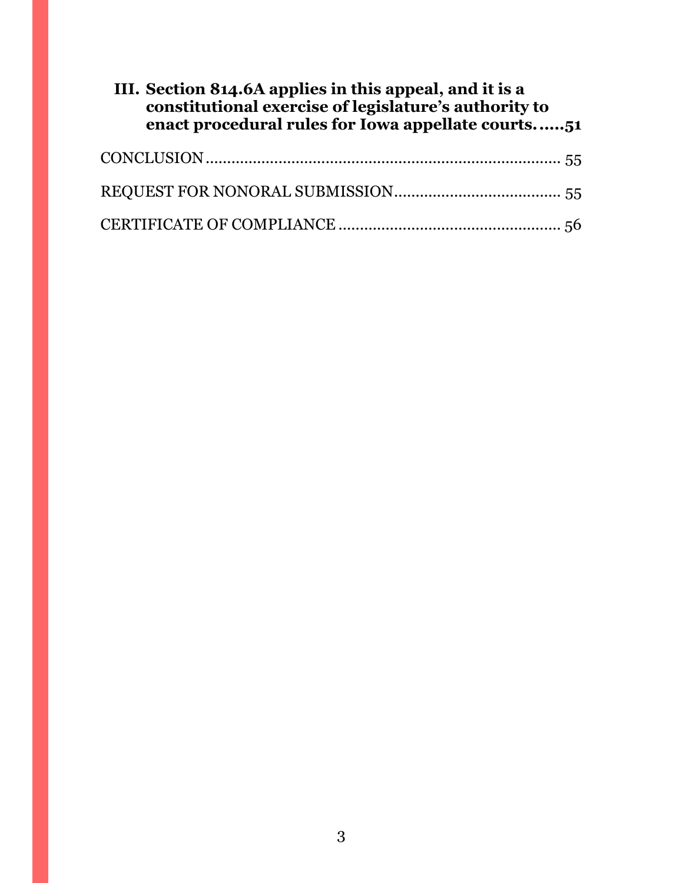| III. Section 814.6A applies in this appeal, and it is a<br>constitutional exercise of legislature's authority to<br>enact procedural rules for Iowa appellate courts51 |  |
|------------------------------------------------------------------------------------------------------------------------------------------------------------------------|--|
|                                                                                                                                                                        |  |
|                                                                                                                                                                        |  |
|                                                                                                                                                                        |  |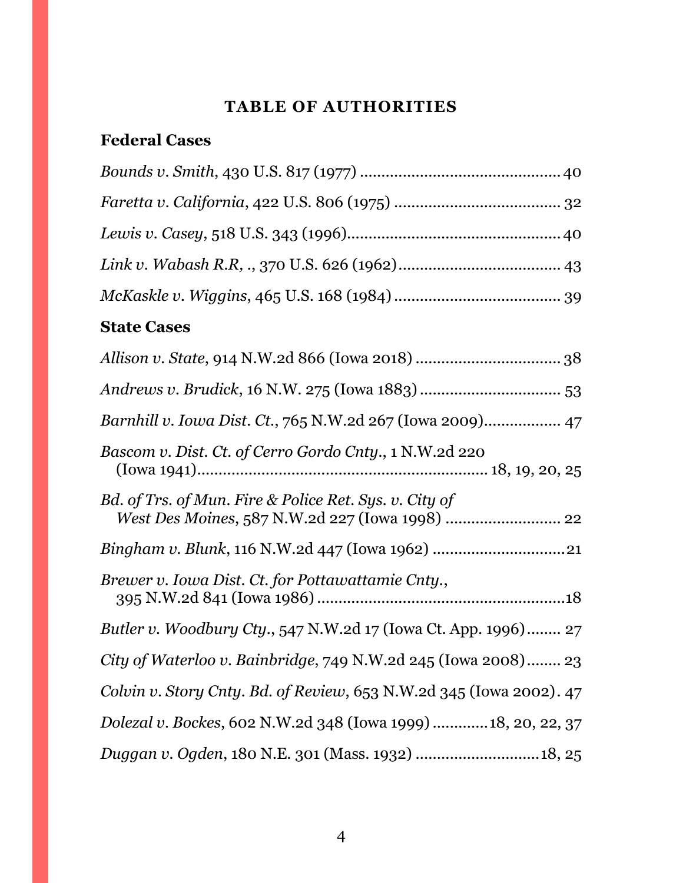# **TABLE OF AUTHORITIES**

# <span id="page-3-0"></span>**Federal Cases**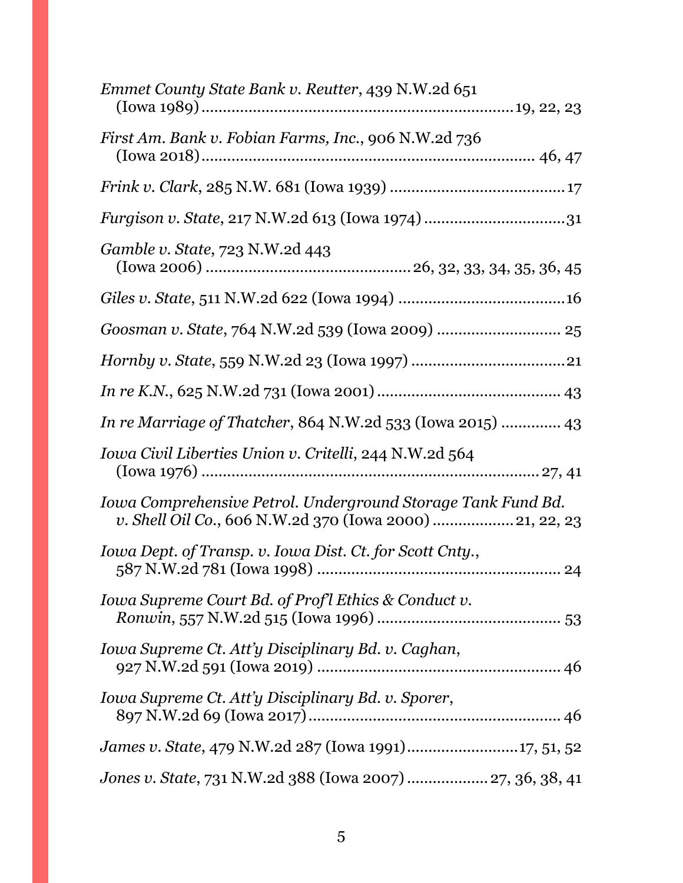| Emmet County State Bank v. Reutter, 439 N.W.2d 651                                                                       |
|--------------------------------------------------------------------------------------------------------------------------|
| First Am. Bank v. Fobian Farms, Inc., 906 N.W.2d 736                                                                     |
|                                                                                                                          |
|                                                                                                                          |
| <i>Gamble v. State, 723 N.W.2d 443</i>                                                                                   |
|                                                                                                                          |
|                                                                                                                          |
|                                                                                                                          |
|                                                                                                                          |
| In re Marriage of Thatcher, 864 N.W.2d 533 (Iowa 2015)  43                                                               |
| Iowa Civil Liberties Union v. Critelli, 244 N.W.2d 564                                                                   |
| Iowa Comprehensive Petrol. Underground Storage Tank Fund Bd.<br>v. Shell Oil Co., 606 N.W.2d 370 (Iowa 2000)  21, 22, 23 |
| Iowa Dept. of Transp. v. Iowa Dist. Ct. for Scott Cnty.,                                                                 |
| Iowa Supreme Court Bd. of Prof l Ethics & Conduct v.                                                                     |
| Iowa Supreme Ct. Att'y Disciplinary Bd. v. Caghan,                                                                       |
| Iowa Supreme Ct. Att'y Disciplinary Bd. v. Sporer,                                                                       |
| James v. State, 479 N.W.2d 287 (Iowa 1991)17, 51, 52                                                                     |
| Jones v. State, 731 N.W.2d 388 (Iowa 2007)  27, 36, 38, 41                                                               |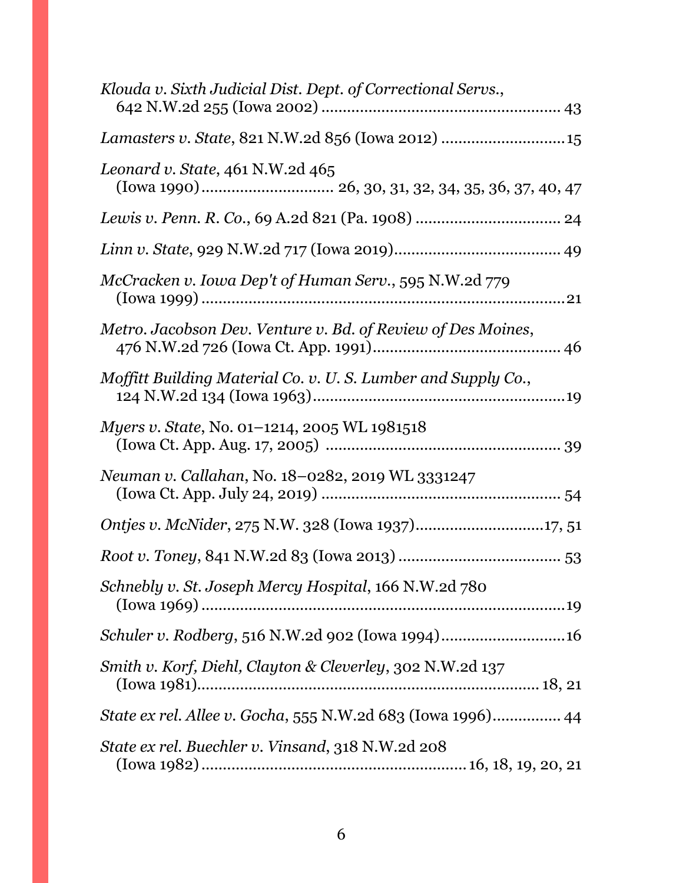| Klouda v. Sixth Judicial Dist. Dept. of Correctional Servs., |
|--------------------------------------------------------------|
| Lamasters v. State, 821 N.W.2d 856 (Iowa 2012)  15           |
| Leonard v. State, 461 N.W.2d 465                             |
|                                                              |
|                                                              |
| McCracken v. Iowa Dep't of Human Serv., 595 N.W.2d 779       |
| Metro. Jacobson Dev. Venture v. Bd. of Review of Des Moines, |
| Moffitt Building Material Co. v. U.S. Lumber and Supply Co., |
| <i>Myers v. State, No. 01-1214, 2005 WL 1981518</i>          |
| Neuman v. Callahan, No. 18-0282, 2019 WL 3331247             |
|                                                              |
|                                                              |
| Schnebly v. St. Joseph Mercy Hospital, 166 N.W.2d 780        |
|                                                              |
| Smith v. Korf, Diehl, Clayton & Cleverley, 302 N.W.2d 137    |
| State ex rel. Allee v. Gocha, 555 N.W.2d 683 (Iowa 1996) 44  |
| State ex rel. Buechler v. Vinsand, 318 N.W.2d 208            |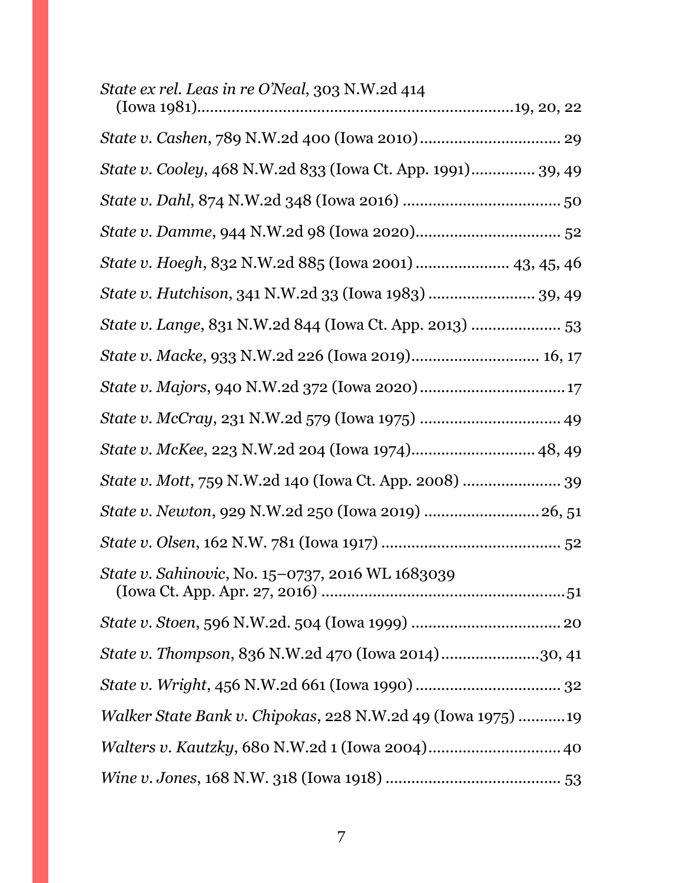| State ex rel. Leas in re O'Neal, 303 N.W.2d 414             |
|-------------------------------------------------------------|
|                                                             |
| State v. Cooley, 468 N.W.2d 833 (Iowa Ct. App. 1991) 39, 49 |
|                                                             |
|                                                             |
| State v. Hoegh, 832 N.W.2d 885 (Iowa 2001)  43, 45, 46      |
| State v. Hutchison, 341 N.W.2d 33 (Iowa 1983)  39, 49       |
| State v. Lange, 831 N.W.2d 844 (Iowa Ct. App. 2013)  53     |
| State v. Macke, 933 N.W.2d 226 (Iowa 2019) 16, 17           |
|                                                             |
|                                                             |
| State v. McKee, 223 N.W.2d 204 (Iowa 1974) 48, 49           |
| State v. Mott, 759 N.W.2d 140 (Iowa Ct. App. 2008)  39      |
| State v. Newton, 929 N.W.2d 250 (Iowa 2019)  26, 51         |
|                                                             |
| State v. Sahinovic, No. 15–0737, 2016 WL 1683039            |
|                                                             |
| State v. Thompson, 836 N.W.2d 470 (Iowa 2014)30, 41         |
|                                                             |
| Walker State Bank v. Chipokas, 228 N.W.2d 49 (Iowa 1975) 19 |
| Walters v. Kautzky, 680 N.W.2d 1 (Iowa 2004) 40             |
|                                                             |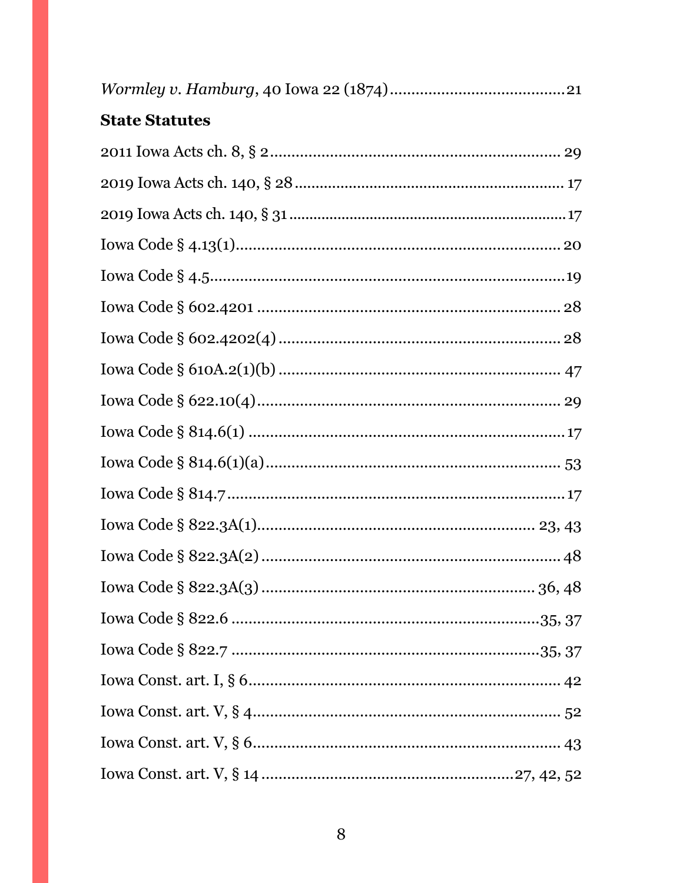| <b>State Statutes</b> |  |
|-----------------------|--|
|                       |  |
|                       |  |
|                       |  |
|                       |  |
|                       |  |
|                       |  |
|                       |  |
|                       |  |
|                       |  |
|                       |  |
|                       |  |
|                       |  |
|                       |  |
|                       |  |
|                       |  |
|                       |  |
|                       |  |
|                       |  |
|                       |  |
|                       |  |
|                       |  |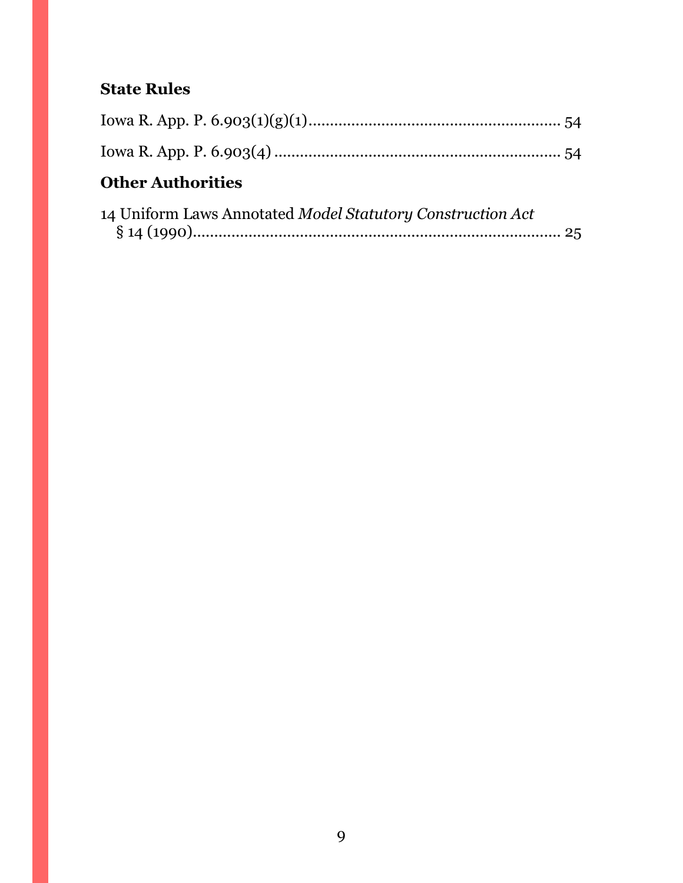# **State Rules**

| <b>Other Authorities</b>                                   |  |
|------------------------------------------------------------|--|
| 14 Uniform Laws Annotated Model Statutory Construction Act |  |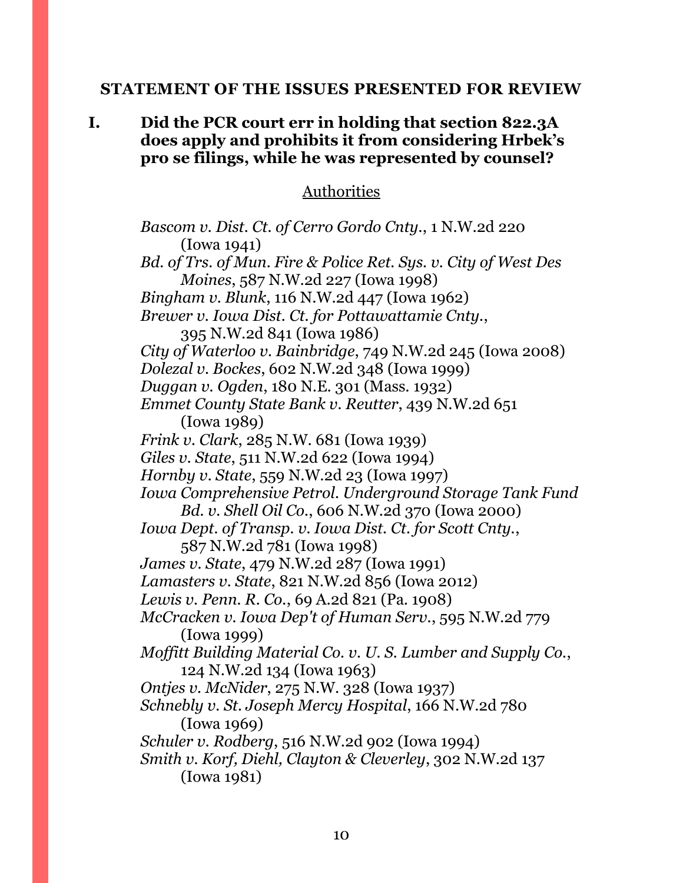#### <span id="page-9-0"></span>**STATEMENT OF THE ISSUES PRESENTED FOR REVIEW**

**I. Did the PCR court err in holding that section 822.3A does apply and prohibits it from considering Hrbek's pro se filings, while he was represented by counsel?**

#### Authorities

*Bascom v. Dist. Ct. of Cerro Gordo Cnty.*, 1 N.W.2d 220 (Iowa 1941) *Bd. of Trs. of Mun. Fire & Police Ret. Sys. v. City of West Des Moines*, 587 N.W.2d 227 (Iowa 1998) *Bingham v. Blunk*, 116 N.W.2d 447 (Iowa 1962) *Brewer v. Iowa Dist. Ct. for Pottawattamie Cnty.*, 395 N.W.2d 841 (Iowa 1986) *City of Waterloo v. Bainbridge*, 749 N.W.2d 245 (Iowa 2008) *Dolezal v. Bockes*, 602 N.W.2d 348 (Iowa 1999) *Duggan v. Ogden*, 180 N.E. 301 (Mass. 1932) *Emmet County State Bank v. Reutter*, 439 N.W.2d 651 (Iowa 1989) *Frink v. Clark*, 285 N.W. 681 (Iowa 1939) *Giles v. State*, 511 N.W.2d 622 (Iowa 1994) *Hornby v. State*, 559 N.W.2d 23 (Iowa 1997) *Iowa Comprehensive Petrol. Underground Storage Tank Fund Bd. v. Shell Oil Co.*, 606 N.W.2d 370 (Iowa 2000) *Iowa Dept. of Transp. v. Iowa Dist. Ct. for Scott Cnty.*, 587 N.W.2d 781 (Iowa 1998) *James v. State*, 479 N.W.2d 287 (Iowa 1991) *Lamasters v. State*, 821 N.W.2d 856 (Iowa 2012) *Lewis v. Penn. R. Co.*, 69 A.2d 821 (Pa. 1908) *McCracken v. Iowa Dep't of Human Serv.*, 595 N.W.2d 779 (Iowa 1999) *Moffitt Building Material Co. v. U. S. Lumber and Supply Co.*, 124 N.W.2d 134 (Iowa 1963) *Ontjes v. McNider*, 275 N.W. 328 (Iowa 1937) *Schnebly v. St. Joseph Mercy Hospital*, 166 N.W.2d 780 (Iowa 1969) *Schuler v. Rodberg*, 516 N.W.2d 902 (Iowa 1994) *Smith v. Korf, Diehl, Clayton & Cleverley*, 302 N.W.2d 137 (Iowa 1981)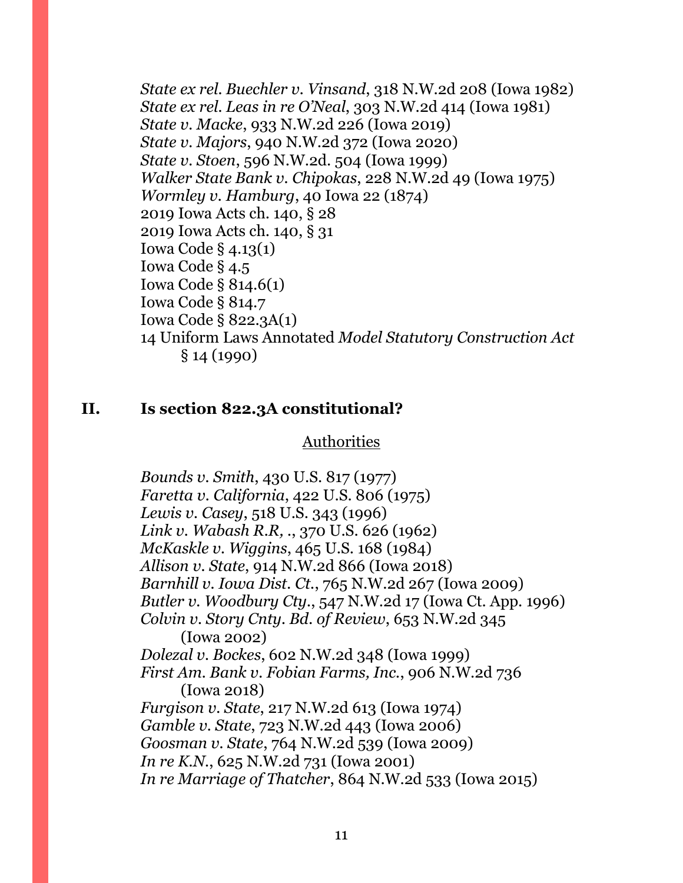*State ex rel. Buechler v. Vinsand*, 318 N.W.2d 208 (Iowa 1982) *State ex rel. Leas in re O'Neal*, 303 N.W.2d 414 (Iowa 1981) *State v. Macke*, 933 N.W.2d 226 (Iowa 2019) *State v. Majors*, 940 N.W.2d 372 (Iowa 2020) *State v. Stoen*, 596 N.W.2d. 504 (Iowa 1999) *Walker State Bank v. Chipokas*, 228 N.W.2d 49 (Iowa 1975) *Wormley v. Hamburg*, 40 Iowa 22 (1874) 2019 Iowa Acts ch. 140, § 28 2019 Iowa Acts ch. 140, § 31 Iowa Code § 4.13(1) Iowa Code § 4.5 Iowa Code § 814.6(1) Iowa Code § 814.7 Iowa Code § 822.3A(1) 14 Uniform Laws Annotated *Model Statutory Construction Act* § 14 (1990)

#### **II. Is section 822.3A constitutional?**

#### Authorities

*Bounds v. Smith*, 430 U.S. 817 (1977) *Faretta v. California*, 422 U.S. 806 (1975) *Lewis v. Casey*, 518 U.S. 343 (1996) *Link v. Wabash R.R, .*, 370 U.S. 626 (1962) *McKaskle v. Wiggins*, 465 U.S. 168 (1984) *Allison v. State*, 914 N.W.2d 866 (Iowa 2018) *Barnhill v. Iowa Dist. Ct.*, 765 N.W.2d 267 (Iowa 2009) *Butler v. Woodbury Cty.*, 547 N.W.2d 17 (Iowa Ct. App. 1996) *Colvin v. Story Cnty. Bd. of Review*, 653 N.W.2d 345 (Iowa 2002) *Dolezal v. Bockes*, 602 N.W.2d 348 (Iowa 1999) *First Am. Bank v. Fobian Farms, Inc.*, 906 N.W.2d 736 (Iowa 2018) *Furgison v. State*, 217 N.W.2d 613 (Iowa 1974) *Gamble v. State*, 723 N.W.2d 443 (Iowa 2006) *Goosman v. State*, 764 N.W.2d 539 (Iowa 2009) *In re K.N.*, 625 N.W.2d 731 (Iowa 2001) *In re Marriage of Thatcher*, 864 N.W.2d 533 (Iowa 2015)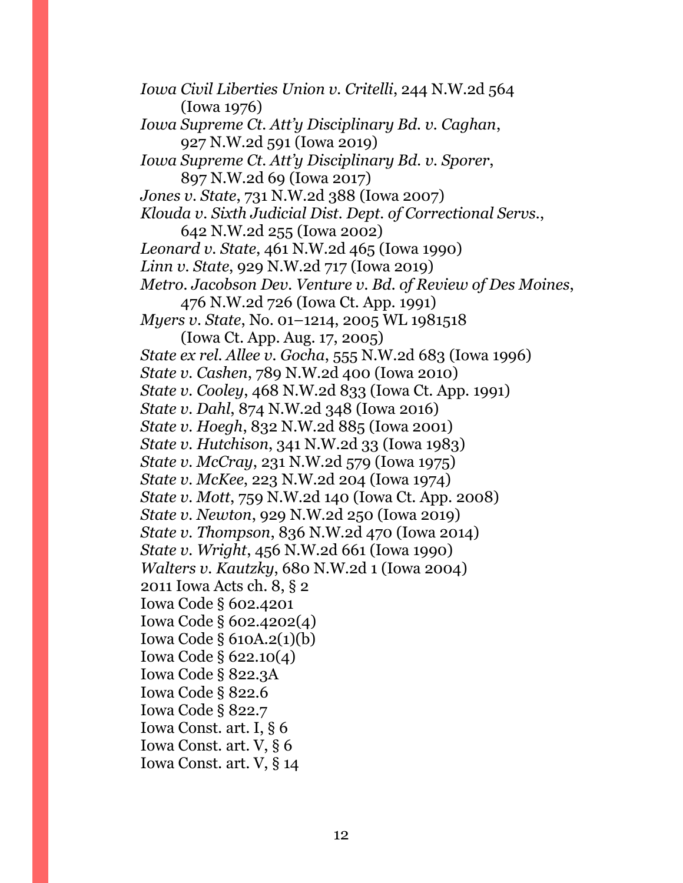*Iowa Civil Liberties Union v. Critelli*, 244 N.W.2d 564 (Iowa 1976) *Iowa Supreme Ct. Att'y Disciplinary Bd. v. Caghan*, 927 N.W.2d 591 (Iowa 2019) *Iowa Supreme Ct. Att'y Disciplinary Bd. v. Sporer*, 897 N.W.2d 69 (Iowa 2017) *Jones v. State*, 731 N.W.2d 388 (Iowa 2007) *Klouda v. Sixth Judicial Dist. Dept. of Correctional Servs.*, 642 N.W.2d 255 (Iowa 2002) *Leonard v. State*, 461 N.W.2d 465 (Iowa 1990) *Linn v. State*, 929 N.W.2d 717 (Iowa 2019) *Metro. Jacobson Dev. Venture v. Bd. of Review of Des Moines*, 476 N.W.2d 726 (Iowa Ct. App. 1991) *Myers v. State*, No. 01–1214, 2005 WL 1981518 (Iowa Ct. App. Aug. 17, 2005) *State ex rel. Allee v. Gocha*, 555 N.W.2d 683 (Iowa 1996) *State v. Cashen*, 789 N.W.2d 400 (Iowa 2010) *State v. Cooley*, 468 N.W.2d 833 (Iowa Ct. App. 1991) *State v. Dahl*, 874 N.W.2d 348 (Iowa 2016) *State v. Hoegh*, 832 N.W.2d 885 (Iowa 2001) *State v. Hutchison*, 341 N.W.2d 33 (Iowa 1983) *State v. McCray*, 231 N.W.2d 579 (Iowa 1975) *State v. McKee*, 223 N.W.2d 204 (Iowa 1974) *State v. Mott*, 759 N.W.2d 140 (Iowa Ct. App. 2008) *State v. Newton*, 929 N.W.2d 250 (Iowa 2019) *State v. Thompson*, 836 N.W.2d 470 (Iowa 2014) *State v. Wright*, 456 N.W.2d 661 (Iowa 1990) *Walters v. Kautzky*, 680 N.W.2d 1 (Iowa 2004) 2011 Iowa Acts ch. 8, § 2 Iowa Code § 602.4201 Iowa Code § 602.4202(4) Iowa Code § 610A.2(1)(b) Iowa Code § 622.10(4) Iowa Code § 822.3A Iowa Code § 822.6 Iowa Code § 822.7 Iowa Const. art. I, § 6 Iowa Const. art. V, § 6 Iowa Const. art. V, § 14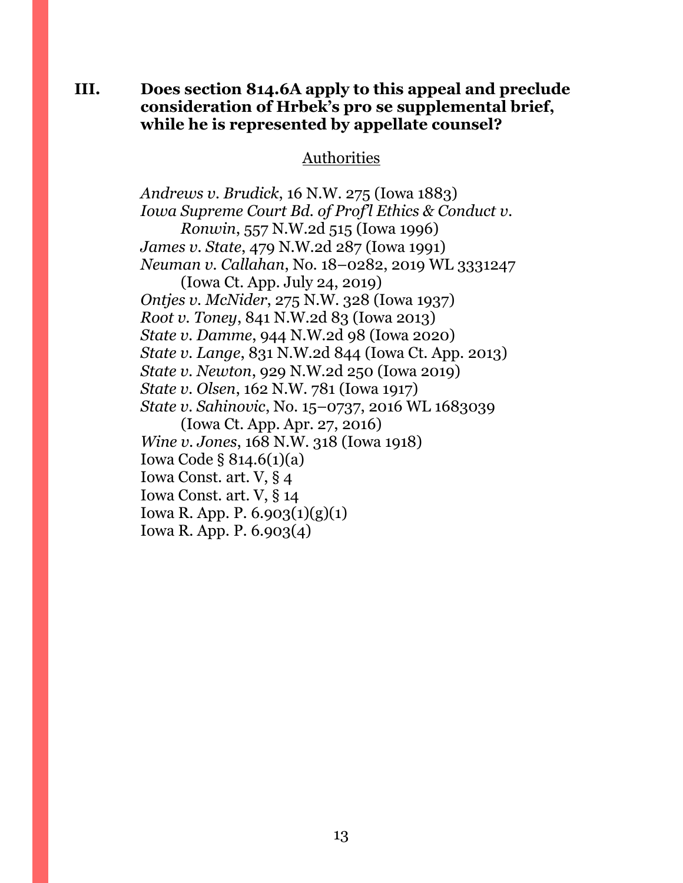#### **III. Does section 814.6A apply to this appeal and preclude consideration of Hrbek's pro se supplemental brief, while he is represented by appellate counsel?**

#### Authorities

*Andrews v. Brudick*, 16 N.W. 275 (Iowa 1883) *Iowa Supreme Court Bd. of Prof'l Ethics & Conduct v. Ronwin*, 557 N.W.2d 515 (Iowa 1996) *James v. State*, 479 N.W.2d 287 (Iowa 1991) *Neuman v. Callahan*, No. 18–0282, 2019 WL 3331247 (Iowa Ct. App. July 24, 2019) *Ontjes v. McNider*, 275 N.W. 328 (Iowa 1937) *Root v. Toney*, 841 N.W.2d 83 (Iowa 2013) *State v. Damme*, 944 N.W.2d 98 (Iowa 2020) *State v. Lange*, 831 N.W.2d 844 (Iowa Ct. App. 2013) *State v. Newton*, 929 N.W.2d 250 (Iowa 2019) *State v. Olsen*, 162 N.W. 781 (Iowa 1917) *State v. Sahinovic*, No. 15–0737, 2016 WL 1683039 (Iowa Ct. App. Apr. 27, 2016) *Wine v. Jones*, 168 N.W. 318 (Iowa 1918) Iowa Code § 814.6(1)(a) Iowa Const. art. V, § 4 Iowa Const. art. V, § 14 Iowa R. App. P. 6.903(1)(g)(1) Iowa R. App. P. 6.903(4)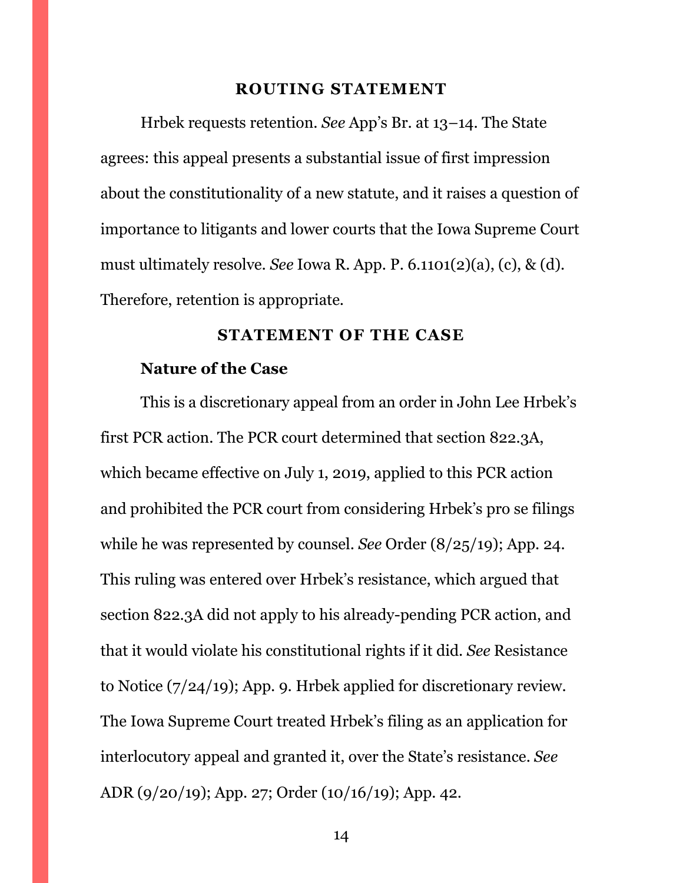#### **ROUTING STATEMENT**

<span id="page-13-0"></span>Hrbek requests retention. *See* App's Br. at 13–14. The State agrees: this appeal presents a substantial issue of first impression about the constitutionality of a new statute, and it raises a question of importance to litigants and lower courts that the Iowa Supreme Court must ultimately resolve. *See* Iowa R. App. P. 6.1101(2)(a), (c), & (d). Therefore, retention is appropriate.

#### **STATEMENT OF THE CASE**

#### <span id="page-13-1"></span>**Nature of the Case**

This is a discretionary appeal from an order in John Lee Hrbek's first PCR action. The PCR court determined that section 822.3A, which became effective on July 1, 2019, applied to this PCR action and prohibited the PCR court from considering Hrbek's pro se filings while he was represented by counsel. *See* Order (8/25/19); App. 24. This ruling was entered over Hrbek's resistance, which argued that section 822.3A did not apply to his already-pending PCR action, and that it would violate his constitutional rights if it did. *See* Resistance to Notice (7/24/19); App. 9. Hrbek applied for discretionary review. The Iowa Supreme Court treated Hrbek's filing as an application for interlocutory appeal and granted it, over the State's resistance. *See*  ADR (9/20/19); App. 27; Order (10/16/19); App. 42.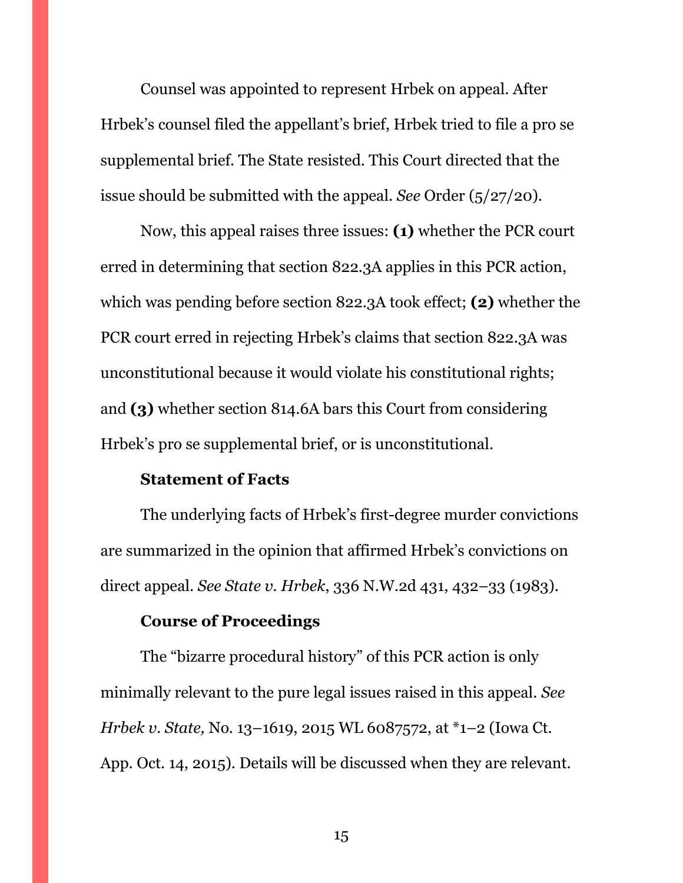Counsel was appointed to represent Hrbek on appeal. After Hrbek's counsel filed the appellant's brief, Hrbek tried to file a pro se supplemental brief. The State resisted. This Court directed that the issue should be submitted with the appeal. *See* Order (5/27/20).

Now, this appeal raises three issues: **(1)** whether the PCR court erred in determining that section 822.3A applies in this PCR action, which was pending before section 822.3A took effect; **(2)** whether the PCR court erred in rejecting Hrbek's claims that section 822.3A was unconstitutional because it would violate his constitutional rights; and **(3)** whether section 814.6A bars this Court from considering Hrbek's pro se supplemental brief, or is unconstitutional.

#### **Statement of Facts**

The underlying facts of Hrbek's first-degree murder convictions are summarized in the opinion that affirmed Hrbek's convictions on direct appeal. *See State v. Hrbek*, 336 N.W.2d 431, 432–33 (1983).

### **Course of Proceedings**

The "bizarre procedural history" of this PCR action is only minimally relevant to the pure legal issues raised in this appeal. *See Hrbek v. State,* No. 13–1619, 2015 WL 6087572, at \*1–2 (Iowa Ct. App. Oct. 14, 2015). Details will be discussed when they are relevant.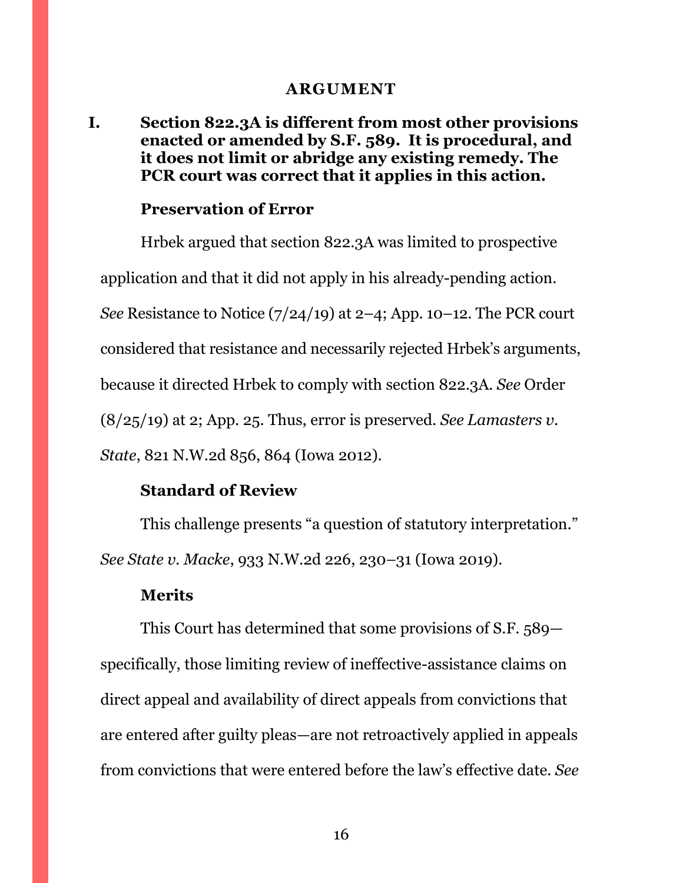#### **ARGUMENT**

### <span id="page-15-1"></span><span id="page-15-0"></span>**I. Section 822.3A is different from most other provisions enacted or amended by S.F. 589. It is procedural, and it does not limit or abridge any existing remedy. The PCR court was correct that it applies in this action.**

#### **Preservation of Error**

Hrbek argued that section 822.3A was limited to prospective application and that it did not apply in his already-pending action. *See* Resistance to Notice (7/24/19) at 2–4; App. 10–12. The PCR court considered that resistance and necessarily rejected Hrbek's arguments, because it directed Hrbek to comply with section 822.3A. *See* Order (8/25/19) at 2; App. 25. Thus, error is preserved. *See Lamasters v. State*, 821 N.W.2d 856, 864 (Iowa 2012).

#### **Standard of Review**

This challenge presents "a question of statutory interpretation." *See State v. Macke*, 933 N.W.2d 226, 230–31 (Iowa 2019).

#### **Merits**

This Court has determined that some provisions of S.F. 589 specifically, those limiting review of ineffective-assistance claims on direct appeal and availability of direct appeals from convictions that are entered after guilty pleas—are not retroactively applied in appeals from convictions that were entered before the law's effective date. *See*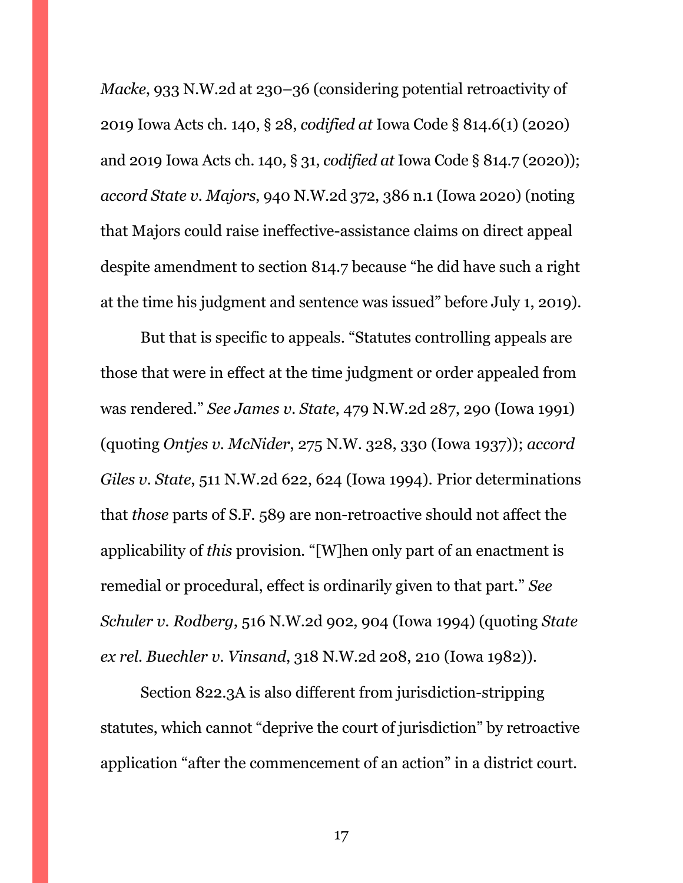*Macke*, 933 N.W.2d at 230–36 (considering potential retroactivity of 2019 Iowa Acts ch. 140, § 28, *codified at* Iowa Code § 814.6(1) (2020) and 2019 Iowa Acts ch. 140, § 31, *codified at* Iowa Code § 814.7 (2020)); *accord State v. Majors*, 940 N.W.2d 372, 386 n.1 (Iowa 2020) (noting that Majors could raise ineffective-assistance claims on direct appeal despite amendment to section 814.7 because "he did have such a right at the time his judgment and sentence was issued" before July 1, 2019).

But that is specific to appeals. "Statutes controlling appeals are those that were in effect at the time judgment or order appealed from was rendered." *See James v. State*, 479 N.W.2d 287, 290 (Iowa 1991) (quoting *Ontjes v. McNider*, 275 N.W. 328, 330 (Iowa 1937)); *accord Giles v. State*, 511 N.W.2d 622, 624 (Iowa 1994). Prior determinations that *those* parts of S.F. 589 are non-retroactive should not affect the applicability of *this* provision. "[W]hen only part of an enactment is remedial or procedural, effect is ordinarily given to that part." *See Schuler v. Rodberg*, 516 N.W.2d 902, 904 (Iowa 1994) (quoting *State ex rel. Buechler v. Vinsand*, 318 N.W.2d 208, 210 (Iowa 1982)).

Section 822.3A is also different from jurisdiction-stripping statutes, which cannot "deprive the court of jurisdiction" by retroactive application "after the commencement of an action" in a district court.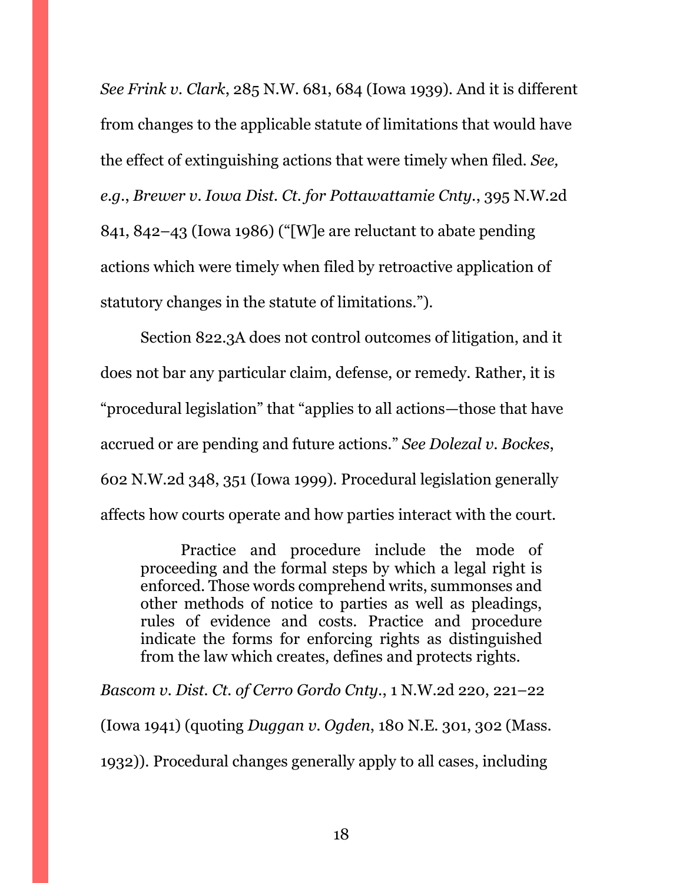*See Frink v. Clark*, 285 N.W. 681, 684 (Iowa 1939). And it is different from changes to the applicable statute of limitations that would have the effect of extinguishing actions that were timely when filed. *See, e.g.*, *Brewer v. Iowa Dist. Ct. for Pottawattamie Cnty.*, 395 N.W.2d 841, 842–43 (Iowa 1986) ("[W]e are reluctant to abate pending actions which were timely when filed by retroactive application of statutory changes in the statute of limitations.").

Section 822.3A does not control outcomes of litigation, and it does not bar any particular claim, defense, or remedy. Rather, it is "procedural legislation" that "applies to all actions—those that have accrued or are pending and future actions." *See Dolezal v. Bockes*, 602 N.W.2d 348, 351 (Iowa 1999). Procedural legislation generally affects how courts operate and how parties interact with the court.

Practice and procedure include the mode of proceeding and the formal steps by which a legal right is enforced. Those words comprehend writs, summonses and other methods of notice to parties as well as pleadings, rules of evidence and costs. Practice and procedure indicate the forms for enforcing rights as distinguished from the law which creates, defines and protects rights.

*Bascom v. Dist. Ct. of Cerro Gordo Cnty.*, 1 N.W.2d 220, 221–22 (Iowa 1941) (quoting *Duggan v. Ogden*, 180 N.E. 301, 302 (Mass. 1932)). Procedural changes generally apply to all cases, including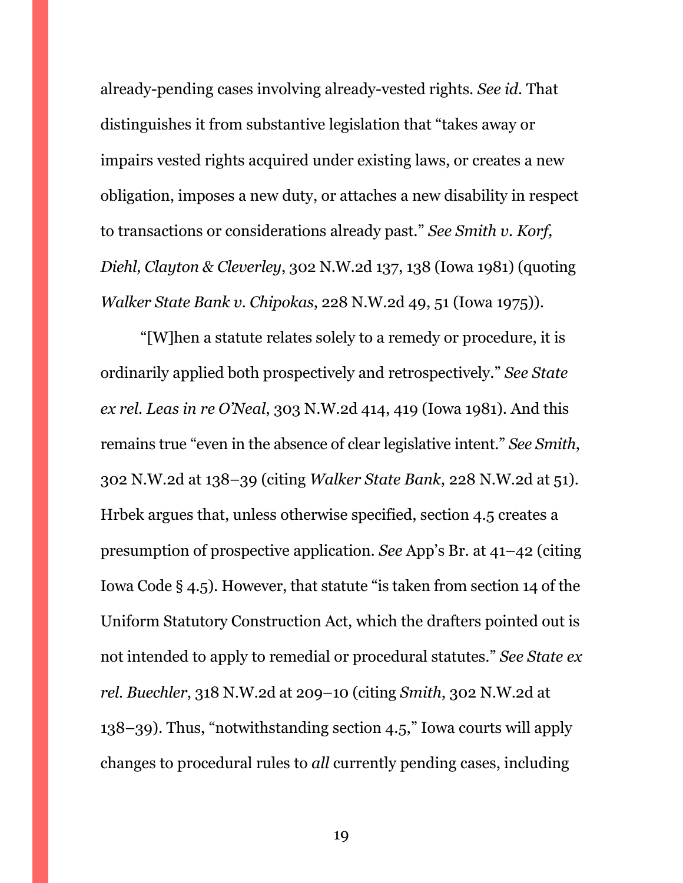already-pending cases involving already-vested rights. *See id.* That distinguishes it from substantive legislation that "takes away or impairs vested rights acquired under existing laws, or creates a new obligation, imposes a new duty, or attaches a new disability in respect to transactions or considerations already past." *See Smith v. Korf, Diehl, Clayton & Cleverley*, 302 N.W.2d 137, 138 (Iowa 1981) (quoting *Walker State Bank v. Chipokas*, 228 N.W.2d 49, 51 (Iowa 1975)).

"[W]hen a statute relates solely to a remedy or procedure, it is ordinarily applied both prospectively and retrospectively." *See State ex rel. Leas in re O'Neal*, 303 N.W.2d 414, 419 (Iowa 1981). And this remains true "even in the absence of clear legislative intent." *See Smith*, 302 N.W.2d at 138–39 (citing *Walker State Bank*, 228 N.W.2d at 51). Hrbek argues that, unless otherwise specified, section 4.5 creates a presumption of prospective application. *See* App's Br. at 41–42 (citing Iowa Code § 4.5). However, that statute "is taken from section 14 of the Uniform Statutory Construction Act, which the drafters pointed out is not intended to apply to remedial or procedural statutes." *See State ex rel. Buechler*, 318 N.W.2d at 209–10 (citing *Smith*, 302 N.W.2d at 138–39). Thus, "notwithstanding section 4.5," Iowa courts will apply changes to procedural rules to *all* currently pending cases, including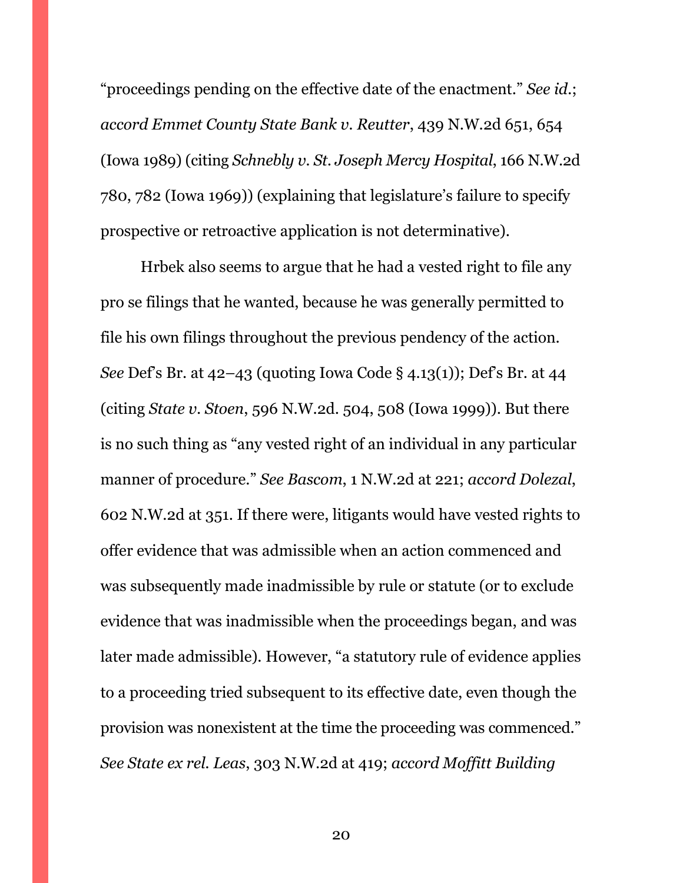"proceedings pending on the effective date of the enactment." *See id.*; *accord Emmet County State Bank v. Reutter*, 439 N.W.2d 651, 654 (Iowa 1989) (citing *Schnebly v. St. Joseph Mercy Hospital*, 166 N.W.2d 780, 782 (Iowa 1969)) (explaining that legislature's failure to specify prospective or retroactive application is not determinative).

Hrbek also seems to argue that he had a vested right to file any pro se filings that he wanted, because he was generally permitted to file his own filings throughout the previous pendency of the action. *See* Def's Br. at 42–43 (quoting Iowa Code § 4.13(1)); Def's Br. at 44 (citing *State v. Stoen*, 596 N.W.2d. 504, 508 (Iowa 1999)). But there is no such thing as "any vested right of an individual in any particular manner of procedure." *See Bascom*, 1 N.W.2d at 221; *accord Dolezal*, 602 N.W.2d at 351. If there were, litigants would have vested rights to offer evidence that was admissible when an action commenced and was subsequently made inadmissible by rule or statute (or to exclude evidence that was inadmissible when the proceedings began, and was later made admissible). However, "a statutory rule of evidence applies to a proceeding tried subsequent to its effective date, even though the provision was nonexistent at the time the proceeding was commenced." *See State ex rel. Leas*, 303 N.W.2d at 419; *accord Moffitt Building*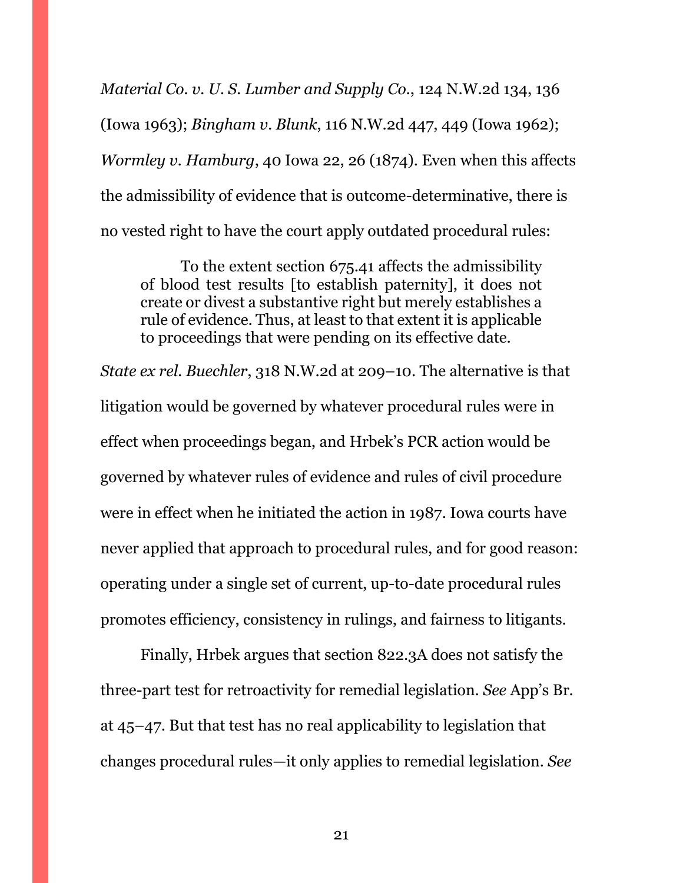*Material Co. v. U. S. Lumber and Supply Co.*, 124 N.W.2d 134, 136 (Iowa 1963); *Bingham v. Blunk*, 116 N.W.2d 447, 449 (Iowa 1962); *Wormley v. Hamburg*, 40 Iowa 22, 26 (1874). Even when this affects the admissibility of evidence that is outcome-determinative, there is no vested right to have the court apply outdated procedural rules:

To the extent section 675.41 affects the admissibility of blood test results [to establish paternity], it does not create or divest a substantive right but merely establishes a rule of evidence. Thus, at least to that extent it is applicable to proceedings that were pending on its effective date.

*State ex rel. Buechler*, 318 N.W.2d at 209–10. The alternative is that litigation would be governed by whatever procedural rules were in effect when proceedings began, and Hrbek's PCR action would be governed by whatever rules of evidence and rules of civil procedure were in effect when he initiated the action in 1987. Iowa courts have never applied that approach to procedural rules, and for good reason: operating under a single set of current, up-to-date procedural rules promotes efficiency, consistency in rulings, and fairness to litigants.

Finally, Hrbek argues that section 822.3A does not satisfy the three-part test for retroactivity for remedial legislation. *See* App's Br. at 45–47. But that test has no real applicability to legislation that changes procedural rules—it only applies to remedial legislation. *See*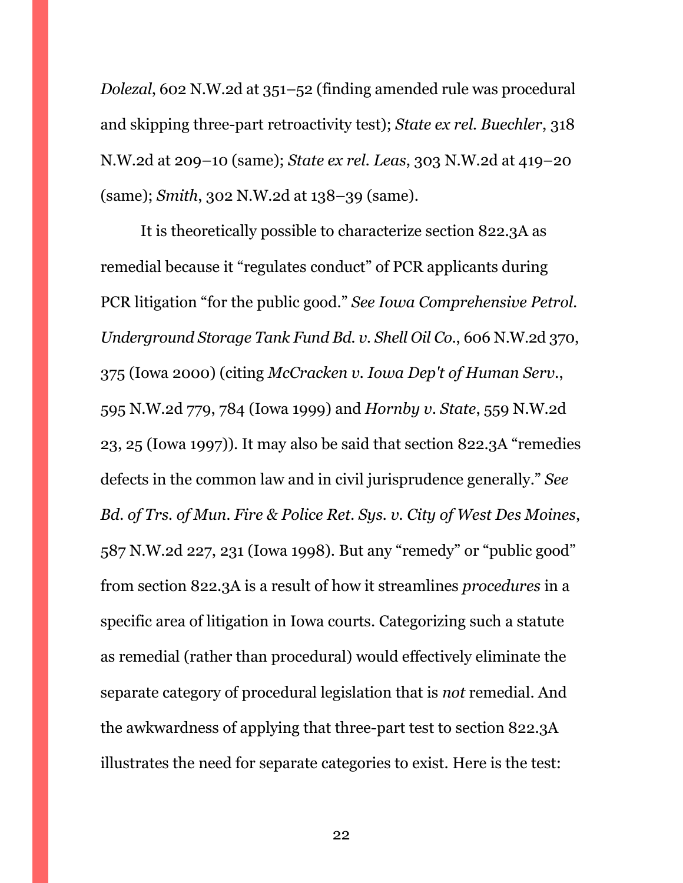*Dolezal*, 602 N.W.2d at 351–52 (finding amended rule was procedural and skipping three-part retroactivity test); *State ex rel. Buechler*, 318 N.W.2d at 209–10 (same); *State ex rel. Leas*, 303 N.W.2d at 419–20 (same); *Smith*, 302 N.W.2d at 138–39 (same).

It is theoretically possible to characterize section 822.3A as remedial because it "regulates conduct" of PCR applicants during PCR litigation "for the public good." *See Iowa Comprehensive Petrol. Underground Storage Tank Fund Bd. v. Shell Oil Co.*, 606 N.W.2d 370, 375 (Iowa 2000) (citing *McCracken v. Iowa Dep't of Human Serv.*, 595 N.W.2d 779, 784 (Iowa 1999) and *Hornby v. State*, 559 N.W.2d 23, 25 (Iowa 1997)). It may also be said that section 822.3A "remedies defects in the common law and in civil jurisprudence generally." *See Bd. of Trs. of Mun. Fire & Police Ret. Sys. v. City of West Des Moines*, 587 N.W.2d 227, 231 (Iowa 1998). But any "remedy" or "public good" from section 822.3A is a result of how it streamlines *procedures* in a specific area of litigation in Iowa courts. Categorizing such a statute as remedial (rather than procedural) would effectively eliminate the separate category of procedural legislation that is *not* remedial. And the awkwardness of applying that three-part test to section 822.3A illustrates the need for separate categories to exist. Here is the test: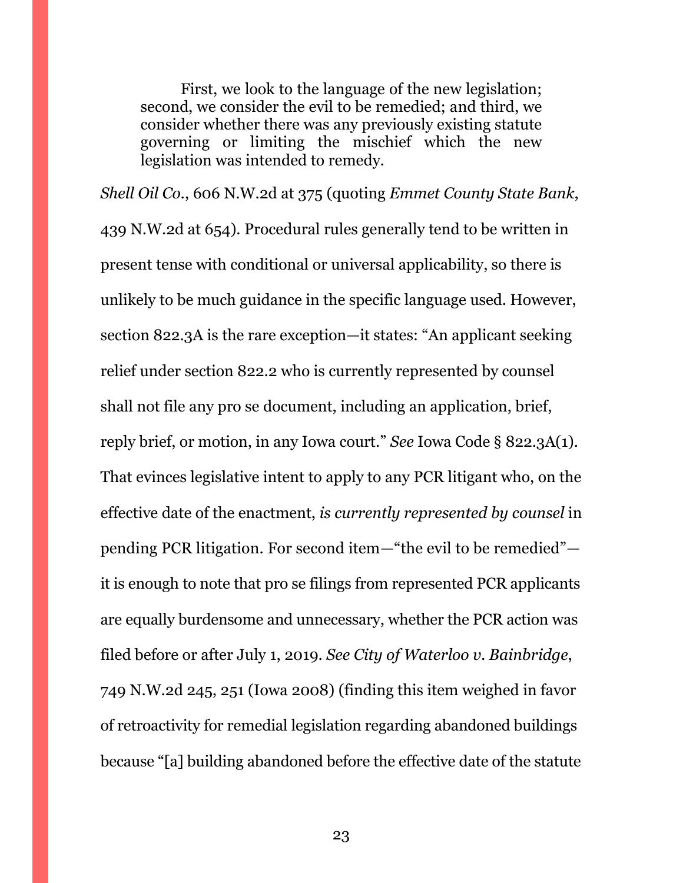First, we look to the language of the new legislation; second, we consider the evil to be remedied; and third, we consider whether there was any previously existing statute governing or limiting the mischief which the new legislation was intended to remedy.

*Shell Oil Co.*, 606 N.W.2d at 375 (quoting *Emmet County State Bank*, 439 N.W.2d at 654). Procedural rules generally tend to be written in present tense with conditional or universal applicability, so there is unlikely to be much guidance in the specific language used. However, section 822.3A is the rare exception—it states: "An applicant seeking relief under section 822.2 who is currently represented by counsel shall not file any pro se document, including an application, brief, reply brief, or motion, in any Iowa court." *See* Iowa Code § 822.3A(1). That evinces legislative intent to apply to any PCR litigant who, on the effective date of the enactment, *is currently represented by counsel* in pending PCR litigation. For second item—"the evil to be remedied" it is enough to note that pro se filings from represented PCR applicants are equally burdensome and unnecessary, whether the PCR action was filed before or after July 1, 2019. *See City of Waterloo v. Bainbridge*, 749 N.W.2d 245, 251 (Iowa 2008) (finding this item weighed in favor of retroactivity for remedial legislation regarding abandoned buildings because "[a] building abandoned before the effective date of the statute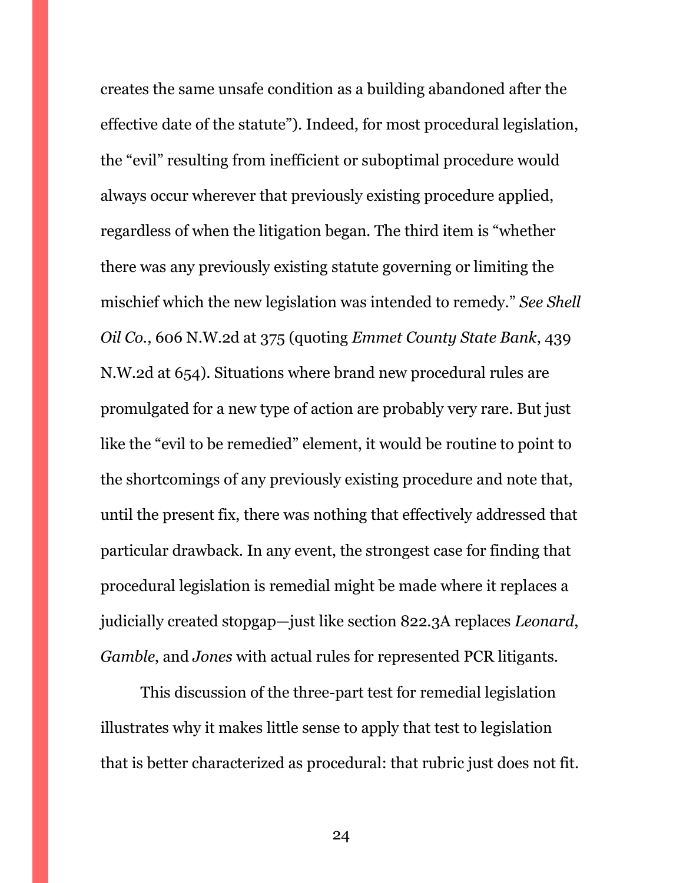creates the same unsafe condition as a building abandoned after the effective date of the statute"). Indeed, for most procedural legislation, the "evil" resulting from inefficient or suboptimal procedure would always occur wherever that previously existing procedure applied, regardless of when the litigation began. The third item is "whether there was any previously existing statute governing or limiting the mischief which the new legislation was intended to remedy." *See Shell Oil Co.*, 606 N.W.2d at 375 (quoting *Emmet County State Bank*, 439 N.W.2d at 654). Situations where brand new procedural rules are promulgated for a new type of action are probably very rare. But just like the "evil to be remedied" element, it would be routine to point to the shortcomings of any previously existing procedure and note that, until the present fix, there was nothing that effectively addressed that particular drawback. In any event, the strongest case for finding that procedural legislation is remedial might be made where it replaces a judicially created stopgap—just like section 822.3A replaces *Leonard*, *Gamble*, and *Jones* with actual rules for represented PCR litigants.

This discussion of the three-part test for remedial legislation illustrates why it makes little sense to apply that test to legislation that is better characterized as procedural: that rubric just does not fit.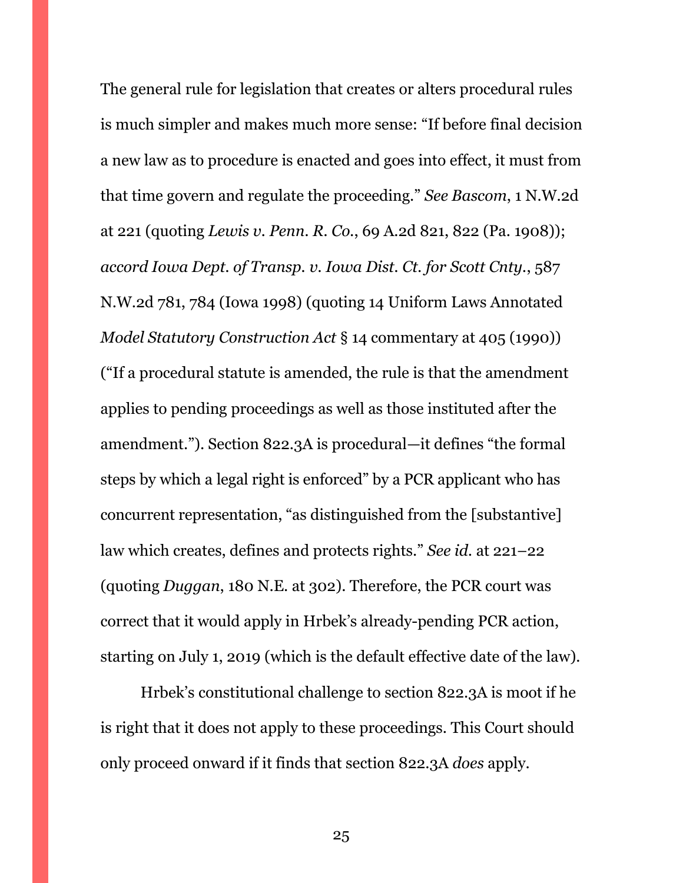The general rule for legislation that creates or alters procedural rules is much simpler and makes much more sense: "If before final decision a new law as to procedure is enacted and goes into effect, it must from that time govern and regulate the proceeding." *See Bascom*, 1 N.W.2d at 221 (quoting *Lewis v. Penn. R. Co.*, 69 A.2d 821, 822 (Pa. 1908)); *accord Iowa Dept. of Transp. v. Iowa Dist. Ct. for Scott Cnty.*, 587 N.W.2d 781, 784 (Iowa 1998) (quoting 14 Uniform Laws Annotated *Model Statutory Construction Act* § 14 commentary at 405 (1990)) ("If a procedural statute is amended, the rule is that the amendment applies to pending proceedings as well as those instituted after the amendment."). Section 822.3A is procedural—it defines "the formal steps by which a legal right is enforced" by a PCR applicant who has concurrent representation, "as distinguished from the [substantive] law which creates, defines and protects rights." *See id.* at 221–22 (quoting *Duggan*, 180 N.E. at 302). Therefore, the PCR court was correct that it would apply in Hrbek's already-pending PCR action, starting on July 1, 2019 (which is the default effective date of the law).

Hrbek's constitutional challenge to section 822.3A is moot if he is right that it does not apply to these proceedings. This Court should only proceed onward if it finds that section 822.3A *does* apply.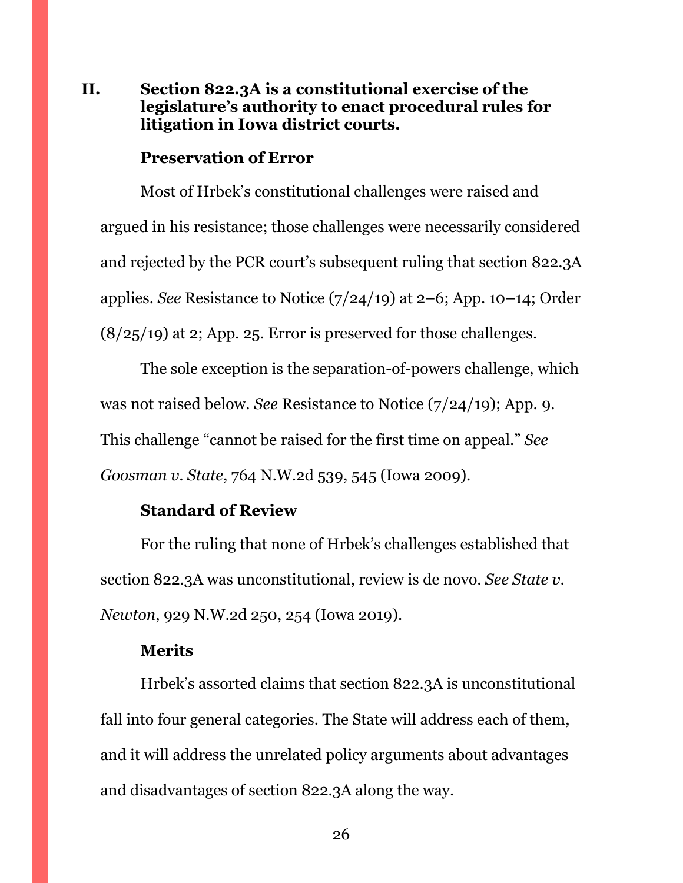### <span id="page-25-0"></span>**II. Section 822.3A is a constitutional exercise of the legislature's authority to enact procedural rules for litigation in Iowa district courts.**

#### **Preservation of Error**

Most of Hrbek's constitutional challenges were raised and argued in his resistance; those challenges were necessarily considered and rejected by the PCR court's subsequent ruling that section 822.3A applies. *See* Resistance to Notice (7/24/19) at 2–6; App. 10–14; Order  $(8/25/19)$  at 2; App. 25. Error is preserved for those challenges.

The sole exception is the separation-of-powers challenge, which was not raised below. *See* Resistance to Notice (7/24/19); App. 9. This challenge "cannot be raised for the first time on appeal." *See Goosman v. State*, 764 N.W.2d 539, 545 (Iowa 2009).

#### **Standard of Review**

For the ruling that none of Hrbek's challenges established that section 822.3A was unconstitutional, review is de novo. *See State v. Newton*, 929 N.W.2d 250, 254 (Iowa 2019).

#### **Merits**

Hrbek's assorted claims that section 822.3A is unconstitutional fall into four general categories. The State will address each of them, and it will address the unrelated policy arguments about advantages and disadvantages of section 822.3A along the way.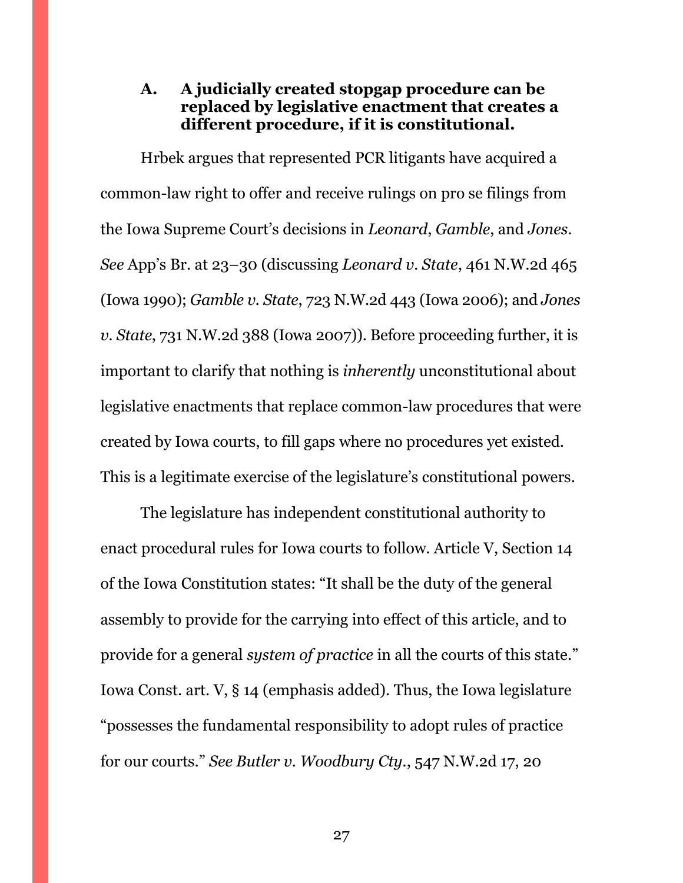### <span id="page-26-0"></span>**A. A judicially created stopgap procedure can be replaced by legislative enactment that creates a different procedure, if it is constitutional.**

Hrbek argues that represented PCR litigants have acquired a common-law right to offer and receive rulings on pro se filings from the Iowa Supreme Court's decisions in *Leonard*, *Gamble*, and *Jones*. *See* App's Br. at 23–30 (discussing *Leonard v. State*, 461 N.W.2d 465 (Iowa 1990); *Gamble v. State*, 723 N.W.2d 443 (Iowa 2006); and *Jones v. State*, 731 N.W.2d 388 (Iowa 2007)). Before proceeding further, it is important to clarify that nothing is *inherently* unconstitutional about legislative enactments that replace common-law procedures that were created by Iowa courts, to fill gaps where no procedures yet existed. This is a legitimate exercise of the legislature's constitutional powers.

The legislature has independent constitutional authority to enact procedural rules for Iowa courts to follow. Article V, Section 14 of the Iowa Constitution states: "It shall be the duty of the general assembly to provide for the carrying into effect of this article, and to provide for a general *system of practice* in all the courts of this state." Iowa Const. art. V, § 14 (emphasis added). Thus, the Iowa legislature "possesses the fundamental responsibility to adopt rules of practice for our courts." *See Butler v. Woodbury Cty.*, 547 N.W.2d 17, 20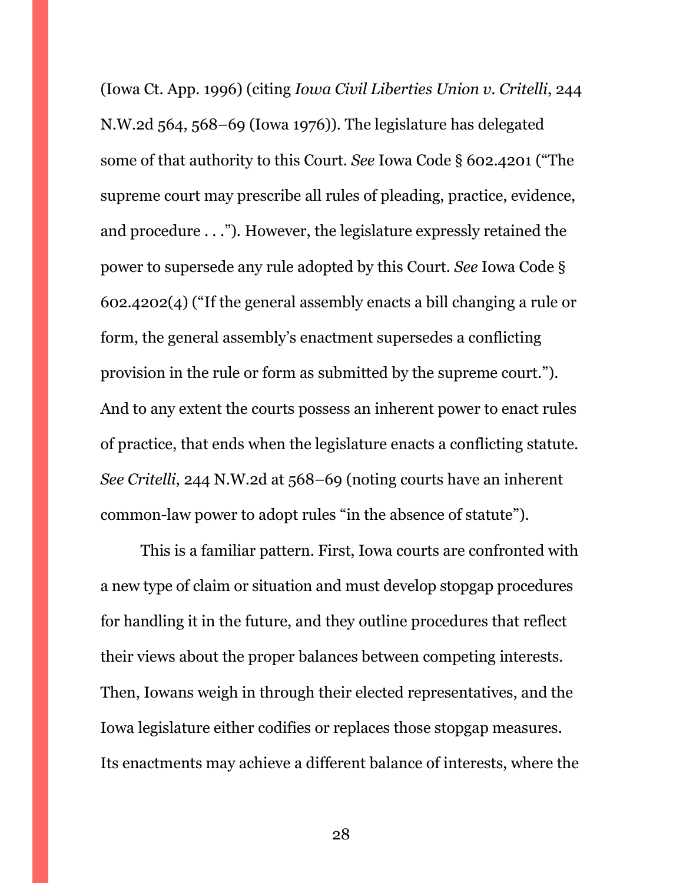(Iowa Ct. App. 1996) (citing *Iowa Civil Liberties Union v. Critelli*, 244 N.W.2d 564, 568–69 (Iowa 1976)). The legislature has delegated some of that authority to this Court. *See* Iowa Code § 602.4201 ("The supreme court may prescribe all rules of pleading, practice, evidence, and procedure . . ."). However, the legislature expressly retained the power to supersede any rule adopted by this Court. *See* Iowa Code § 602.4202(4) ("If the general assembly enacts a bill changing a rule or form, the general assembly's enactment supersedes a conflicting provision in the rule or form as submitted by the supreme court."). And to any extent the courts possess an inherent power to enact rules of practice, that ends when the legislature enacts a conflicting statute. *See Critelli*, 244 N.W.2d at 568–69 (noting courts have an inherent common-law power to adopt rules "in the absence of statute").

This is a familiar pattern. First, Iowa courts are confronted with a new type of claim or situation and must develop stopgap procedures for handling it in the future, and they outline procedures that reflect their views about the proper balances between competing interests. Then, Iowans weigh in through their elected representatives, and the Iowa legislature either codifies or replaces those stopgap measures. Its enactments may achieve a different balance of interests, where the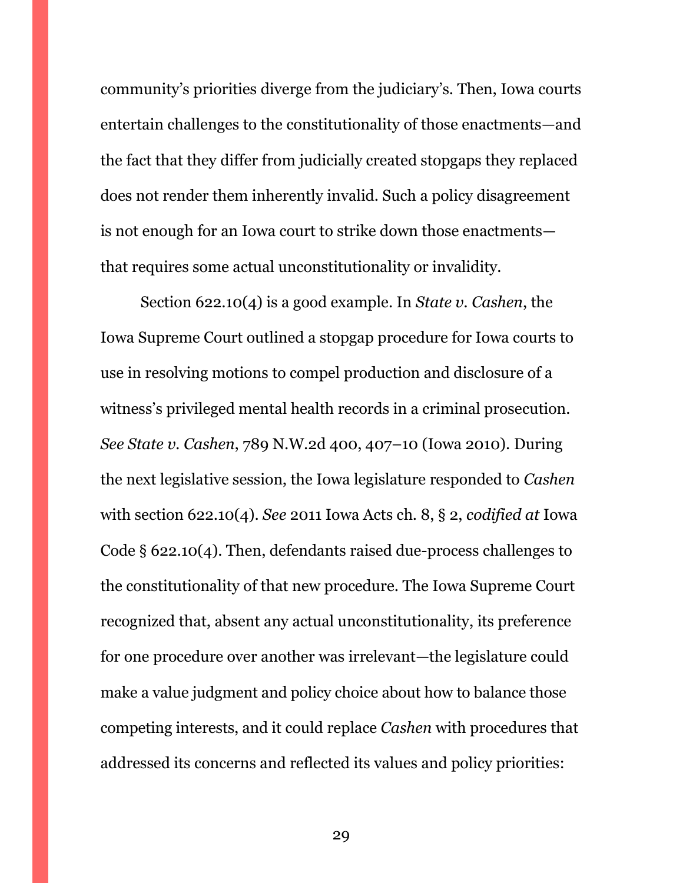community's priorities diverge from the judiciary's. Then, Iowa courts entertain challenges to the constitutionality of those enactments—and the fact that they differ from judicially created stopgaps they replaced does not render them inherently invalid. Such a policy disagreement is not enough for an Iowa court to strike down those enactments that requires some actual unconstitutionality or invalidity.

Section 622.10(4) is a good example. In *State v. Cashen*, the Iowa Supreme Court outlined a stopgap procedure for Iowa courts to use in resolving motions to compel production and disclosure of a witness's privileged mental health records in a criminal prosecution. *See State v. Cashen*, 789 N.W.2d 400, 407–10 (Iowa 2010). During the next legislative session, the Iowa legislature responded to *Cashen* with section 622.10(4). *See* 2011 Iowa Acts ch. 8, § 2, *codified at* Iowa Code § 622.10(4). Then, defendants raised due-process challenges to the constitutionality of that new procedure. The Iowa Supreme Court recognized that, absent any actual unconstitutionality, its preference for one procedure over another was irrelevant—the legislature could make a value judgment and policy choice about how to balance those competing interests, and it could replace *Cashen* with procedures that addressed its concerns and reflected its values and policy priorities: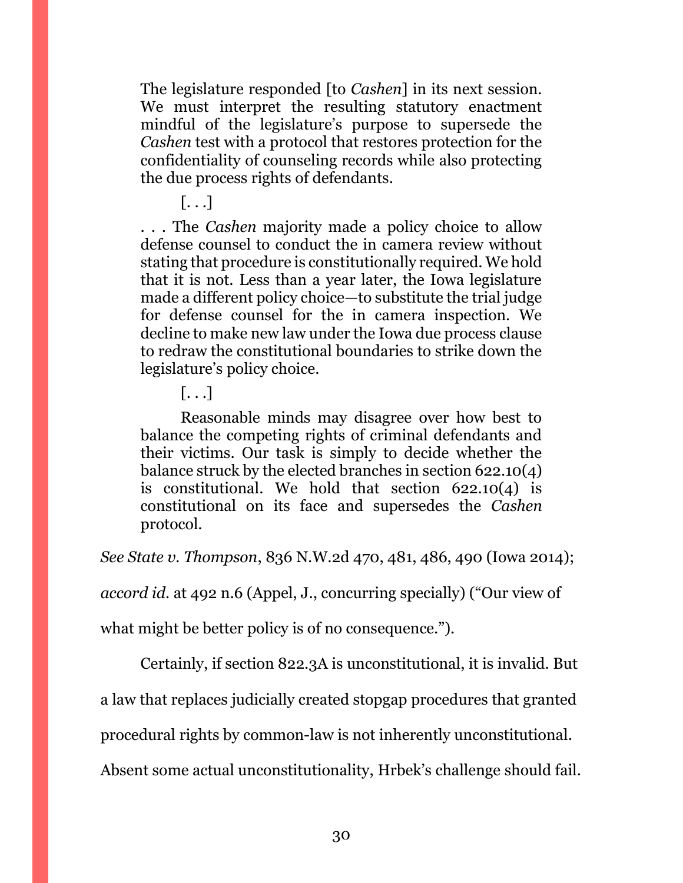The legislature responded [to *Cashen*] in its next session. We must interpret the resulting statutory enactment mindful of the legislature's purpose to supersede the *Cashen* test with a protocol that restores protection for the confidentiality of counseling records while also protecting the due process rights of defendants.

[. . .]

. . . The *Cashen* majority made a policy choice to allow defense counsel to conduct the in camera review without stating that procedure is constitutionally required. We hold that it is not. Less than a year later, the Iowa legislature made a different policy choice—to substitute the trial judge for defense counsel for the in camera inspection. We decline to make new law under the Iowa due process clause to redraw the constitutional boundaries to strike down the legislature's policy choice.

 $\left[\ldots\right]$ 

Reasonable minds may disagree over how best to balance the competing rights of criminal defendants and their victims. Our task is simply to decide whether the balance struck by the elected branches in section 622.10(4) is constitutional. We hold that section 622.10(4) is constitutional on its face and supersedes the *Cashen* protocol.

*See State v. Thompson*, 836 N.W.2d 470, 481, 486, 490 (Iowa 2014);

*accord id.* at 492 n.6 (Appel, J., concurring specially) ("Our view of

what might be better policy is of no consequence.").

Certainly, if section 822.3A is unconstitutional, it is invalid. But

a law that replaces judicially created stopgap procedures that granted

procedural rights by common-law is not inherently unconstitutional.

Absent some actual unconstitutionality, Hrbek's challenge should fail.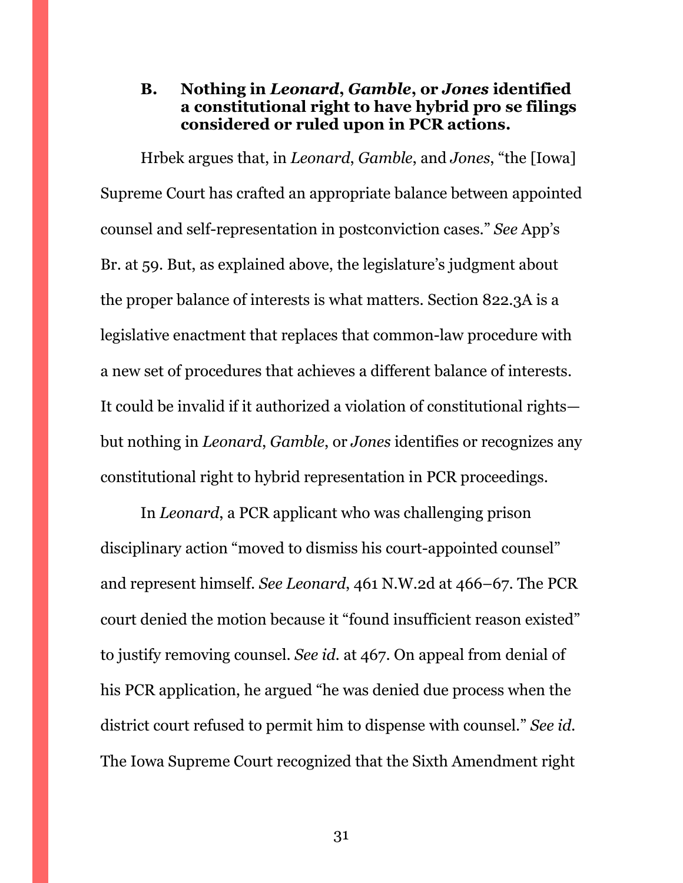### <span id="page-30-0"></span>**B. Nothing in** *Leonard***,** *Gamble***, or** *Jones* **identified a constitutional right to have hybrid pro se filings considered or ruled upon in PCR actions.**

Hrbek argues that, in *Leonard*, *Gamble*, and *Jones*, "the [Iowa] Supreme Court has crafted an appropriate balance between appointed counsel and self-representation in postconviction cases." *See* App's Br. at 59. But, as explained above, the legislature's judgment about the proper balance of interests is what matters. Section 822.3A is a legislative enactment that replaces that common-law procedure with a new set of procedures that achieves a different balance of interests. It could be invalid if it authorized a violation of constitutional rights but nothing in *Leonard*, *Gamble*, or *Jones* identifies or recognizes any constitutional right to hybrid representation in PCR proceedings.

In *Leonard*, a PCR applicant who was challenging prison disciplinary action "moved to dismiss his court-appointed counsel" and represent himself. *See Leonard*, 461 N.W.2d at 466–67. The PCR court denied the motion because it "found insufficient reason existed" to justify removing counsel. *See id.* at 467. On appeal from denial of his PCR application, he argued "he was denied due process when the district court refused to permit him to dispense with counsel." *See id.*  The Iowa Supreme Court recognized that the Sixth Amendment right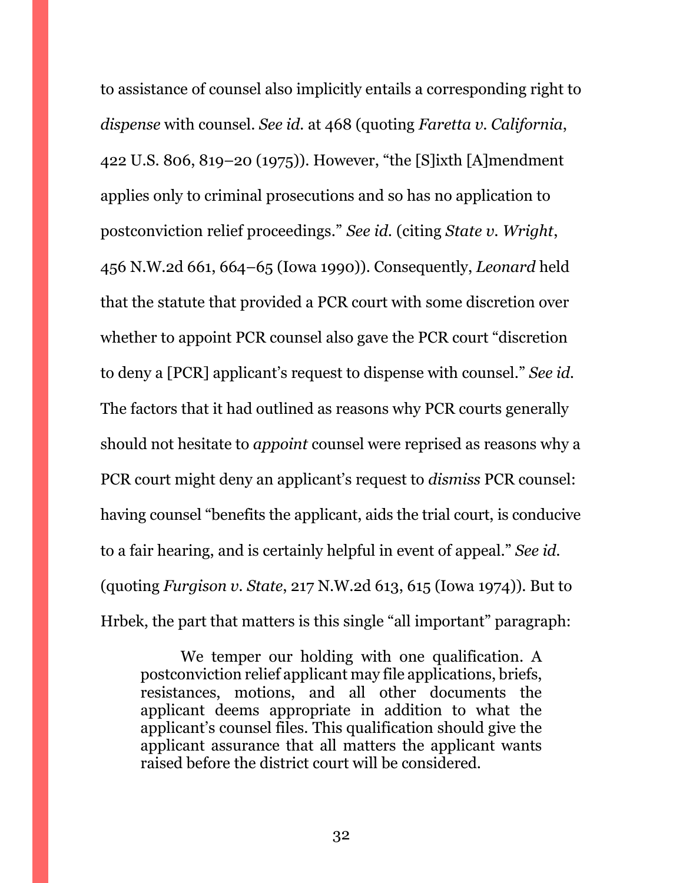to assistance of counsel also implicitly entails a corresponding right to *dispense* with counsel. *See id.* at 468 (quoting *Faretta v. California*, 422 U.S. 806, 819–20 (1975)). However, "the [S]ixth [A]mendment applies only to criminal prosecutions and so has no application to postconviction relief proceedings." *See id.* (citing *State v. Wright*, 456 N.W.2d 661, 664–65 (Iowa 1990)). Consequently, *Leonard* held that the statute that provided a PCR court with some discretion over whether to appoint PCR counsel also gave the PCR court "discretion to deny a [PCR] applicant's request to dispense with counsel." *See id.* The factors that it had outlined as reasons why PCR courts generally should not hesitate to *appoint* counsel were reprised as reasons why a PCR court might deny an applicant's request to *dismiss* PCR counsel: having counsel "benefits the applicant, aids the trial court, is conducive to a fair hearing, and is certainly helpful in event of appeal." *See id.* (quoting *Furgison v. State*, 217 N.W.2d 613, 615 (Iowa 1974)). But to Hrbek, the part that matters is this single "all important" paragraph:

We temper our holding with one qualification. A postconviction relief applicant may file applications, briefs, resistances, motions, and all other documents the applicant deems appropriate in addition to what the applicant's counsel files. This qualification should give the applicant assurance that all matters the applicant wants raised before the district court will be considered.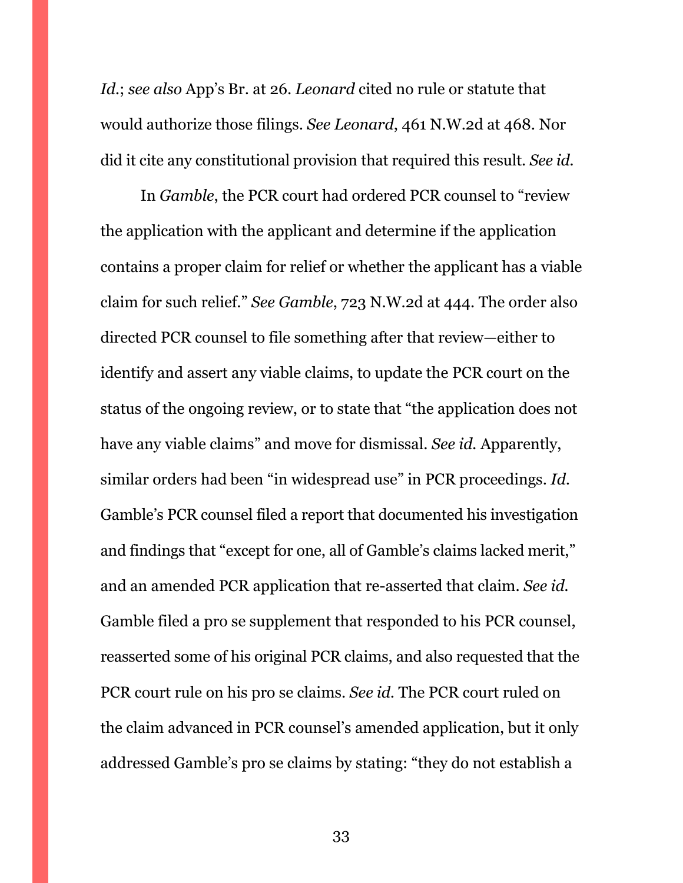*Id.*; *see also* App's Br. at 26. *Leonard* cited no rule or statute that would authorize those filings. *See Leonard*, 461 N.W.2d at 468. Nor did it cite any constitutional provision that required this result. *See id.*

In *Gamble*, the PCR court had ordered PCR counsel to "review the application with the applicant and determine if the application contains a proper claim for relief or whether the applicant has a viable claim for such relief." *See Gamble*, 723 N.W.2d at 444. The order also directed PCR counsel to file something after that review—either to identify and assert any viable claims, to update the PCR court on the status of the ongoing review, or to state that "the application does not have any viable claims" and move for dismissal. *See id.* Apparently, similar orders had been "in widespread use" in PCR proceedings. *Id.*  Gamble's PCR counsel filed a report that documented his investigation and findings that "except for one, all of Gamble's claims lacked merit," and an amended PCR application that re-asserted that claim. *See id.* Gamble filed a pro se supplement that responded to his PCR counsel, reasserted some of his original PCR claims, and also requested that the PCR court rule on his pro se claims. *See id.* The PCR court ruled on the claim advanced in PCR counsel's amended application, but it only addressed Gamble's pro se claims by stating: "they do not establish a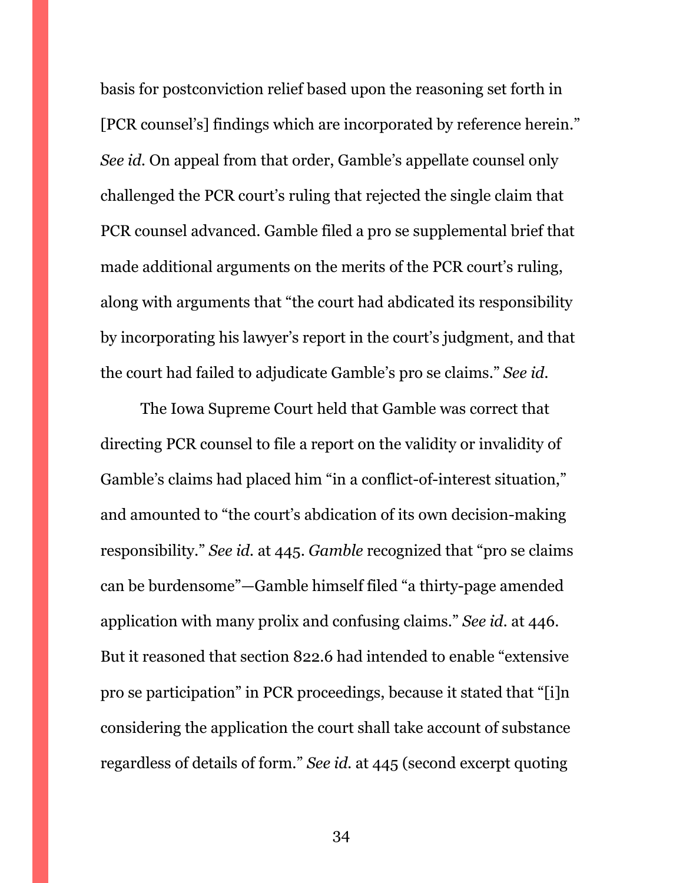basis for postconviction relief based upon the reasoning set forth in [PCR counsel's] findings which are incorporated by reference herein." *See id.* On appeal from that order, Gamble's appellate counsel only challenged the PCR court's ruling that rejected the single claim that PCR counsel advanced. Gamble filed a pro se supplemental brief that made additional arguments on the merits of the PCR court's ruling, along with arguments that "the court had abdicated its responsibility by incorporating his lawyer's report in the court's judgment, and that the court had failed to adjudicate Gamble's pro se claims." *See id.*

The Iowa Supreme Court held that Gamble was correct that directing PCR counsel to file a report on the validity or invalidity of Gamble's claims had placed him "in a conflict-of-interest situation," and amounted to "the court's abdication of its own decision-making responsibility." *See id.* at 445. *Gamble* recognized that "pro se claims can be burdensome"—Gamble himself filed "a thirty-page amended application with many prolix and confusing claims." *See id.* at 446. But it reasoned that section 822.6 had intended to enable "extensive pro se participation" in PCR proceedings, because it stated that "[i]n considering the application the court shall take account of substance regardless of details of form." *See id.* at 445 (second excerpt quoting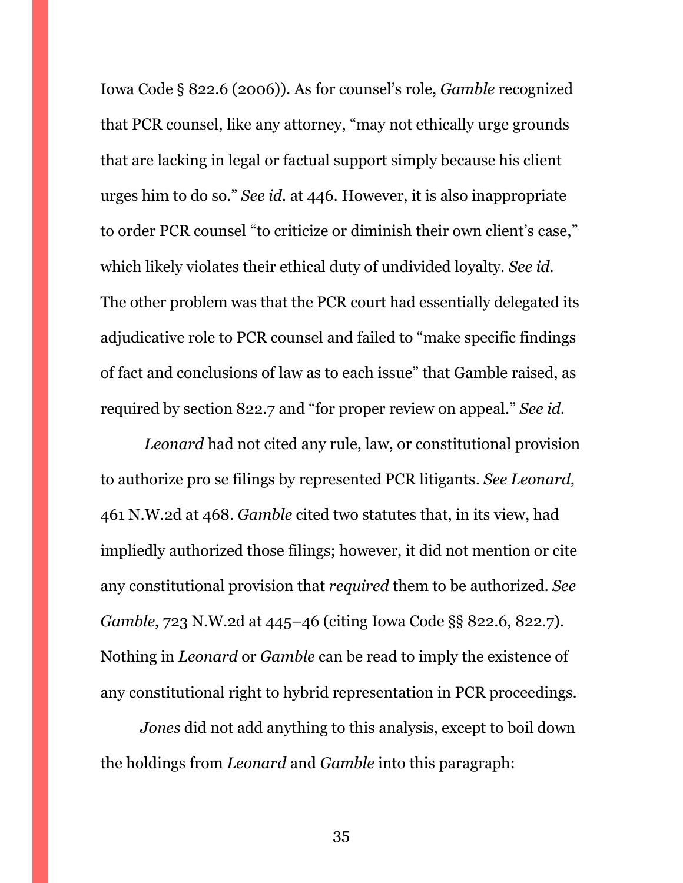Iowa Code § 822.6 (2006)). As for counsel's role, *Gamble* recognized that PCR counsel, like any attorney, "may not ethically urge grounds that are lacking in legal or factual support simply because his client urges him to do so." *See id.* at 446. However, it is also inappropriate to order PCR counsel "to criticize or diminish their own client's case," which likely violates their ethical duty of undivided loyalty. *See id.* The other problem was that the PCR court had essentially delegated its adjudicative role to PCR counsel and failed to "make specific findings of fact and conclusions of law as to each issue" that Gamble raised, as required by section 822.7 and "for proper review on appeal." *See id.*

*Leonard* had not cited any rule, law, or constitutional provision to authorize pro se filings by represented PCR litigants. *See Leonard*, 461 N.W.2d at 468. *Gamble* cited two statutes that, in its view, had impliedly authorized those filings; however, it did not mention or cite any constitutional provision that *required* them to be authorized. *See Gamble*, 723 N.W.2d at 445–46 (citing Iowa Code §§ 822.6, 822.7). Nothing in *Leonard* or *Gamble* can be read to imply the existence of any constitutional right to hybrid representation in PCR proceedings.

*Jones* did not add anything to this analysis, except to boil down the holdings from *Leonard* and *Gamble* into this paragraph: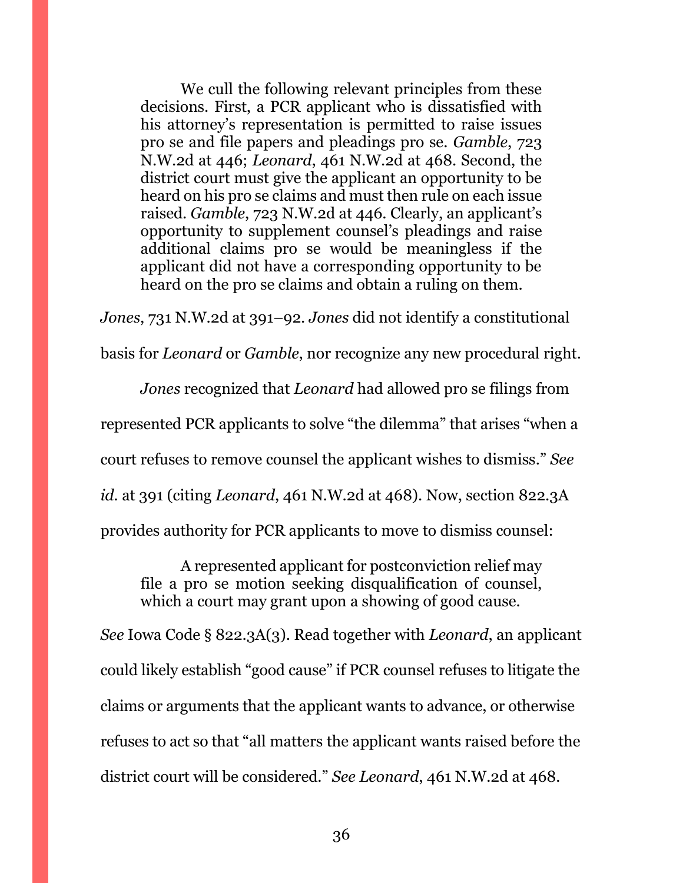We cull the following relevant principles from these decisions. First, a PCR applicant who is dissatisfied with his attorney's representation is permitted to raise issues pro se and file papers and pleadings pro se. *Gamble*, 723 N.W.2d at 446; *Leonard*, 461 N.W.2d at 468. Second, the district court must give the applicant an opportunity to be heard on his pro se claims and must then rule on each issue raised. *Gamble*, 723 N.W.2d at 446. Clearly, an applicant's opportunity to supplement counsel's pleadings and raise additional claims pro se would be meaningless if the applicant did not have a corresponding opportunity to be heard on the pro se claims and obtain a ruling on them.

*Jones*, 731 N.W.2d at 391–92. *Jones* did not identify a constitutional

basis for *Leonard* or *Gamble*, nor recognize any new procedural right.

*Jones* recognized that *Leonard* had allowed pro se filings from

represented PCR applicants to solve "the dilemma" that arises "when a

court refuses to remove counsel the applicant wishes to dismiss." *See*

*id.* at 391 (citing *Leonard*, 461 N.W.2d at 468). Now, section 822.3A

provides authority for PCR applicants to move to dismiss counsel:

A represented applicant for postconviction relief may file a pro se motion seeking disqualification of counsel, which a court may grant upon a showing of good cause.

*See* Iowa Code § 822.3A(3). Read together with *Leonard*, an applicant could likely establish "good cause" if PCR counsel refuses to litigate the claims or arguments that the applicant wants to advance, or otherwise refuses to act so that "all matters the applicant wants raised before the district court will be considered." *See Leonard*, 461 N.W.2d at 468.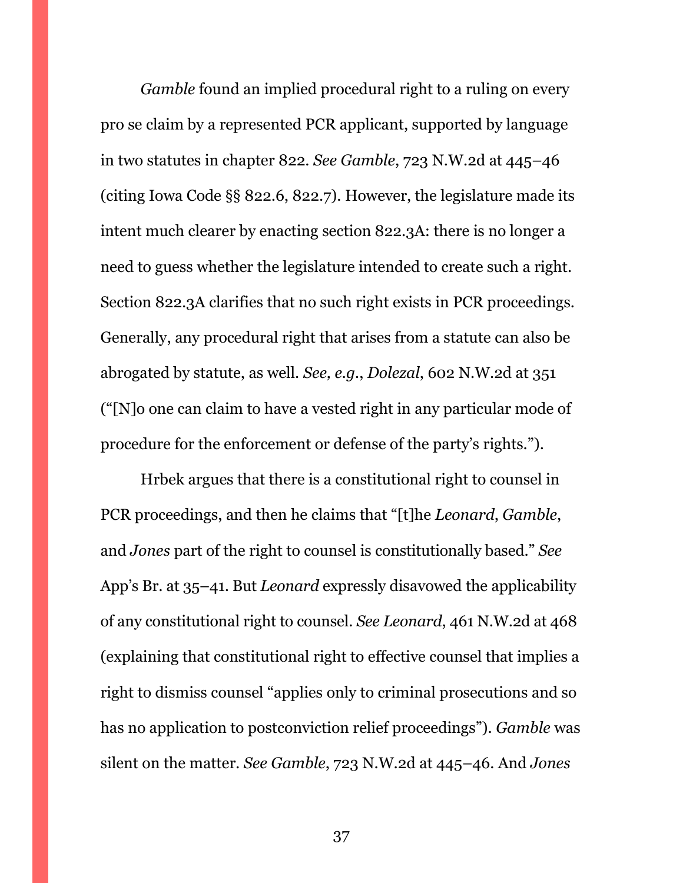*Gamble* found an implied procedural right to a ruling on every pro se claim by a represented PCR applicant, supported by language in two statutes in chapter 822. *See Gamble*, 723 N.W.2d at 445–46 (citing Iowa Code §§ 822.6, 822.7). However, the legislature made its intent much clearer by enacting section 822.3A: there is no longer a need to guess whether the legislature intended to create such a right. Section 822.3A clarifies that no such right exists in PCR proceedings. Generally, any procedural right that arises from a statute can also be abrogated by statute, as well. *See, e.g.*, *Dolezal*, 602 N.W.2d at 351 ("[N]o one can claim to have a vested right in any particular mode of procedure for the enforcement or defense of the party's rights.").

Hrbek argues that there is a constitutional right to counsel in PCR proceedings, and then he claims that "[t]he *Leonard*, *Gamble*, and *Jones* part of the right to counsel is constitutionally based." *See*  App's Br. at 35–41. But *Leonard* expressly disavowed the applicability of any constitutional right to counsel. *See Leonard*, 461 N.W.2d at 468 (explaining that constitutional right to effective counsel that implies a right to dismiss counsel "applies only to criminal prosecutions and so has no application to postconviction relief proceedings"). *Gamble* was silent on the matter. *See Gamble*, 723 N.W.2d at 445–46. And *Jones*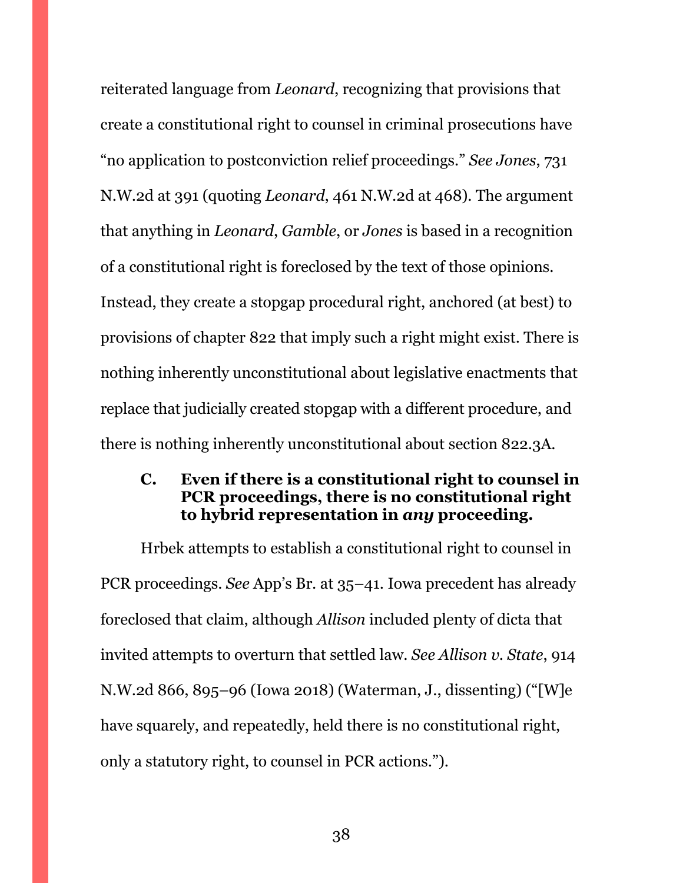reiterated language from *Leonard*, recognizing that provisions that create a constitutional right to counsel in criminal prosecutions have "no application to postconviction relief proceedings." *See Jones*, 731 N.W.2d at 391 (quoting *Leonard*, 461 N.W.2d at 468). The argument that anything in *Leonard*, *Gamble*, or *Jones* is based in a recognition of a constitutional right is foreclosed by the text of those opinions. Instead, they create a stopgap procedural right, anchored (at best) to provisions of chapter 822 that imply such a right might exist. There is nothing inherently unconstitutional about legislative enactments that replace that judicially created stopgap with a different procedure, and there is nothing inherently unconstitutional about section 822.3A.

#### <span id="page-37-0"></span>**C. Even if there is a constitutional right to counsel in PCR proceedings, there is no constitutional right to hybrid representation in** *any* **proceeding.**

Hrbek attempts to establish a constitutional right to counsel in PCR proceedings. *See* App's Br. at 35–41. Iowa precedent has already foreclosed that claim, although *Allison* included plenty of dicta that invited attempts to overturn that settled law. *See Allison v. State*, 914 N.W.2d 866, 895–96 (Iowa 2018) (Waterman, J., dissenting) ("[W]e have squarely, and repeatedly, held there is no constitutional right, only a statutory right, to counsel in PCR actions.").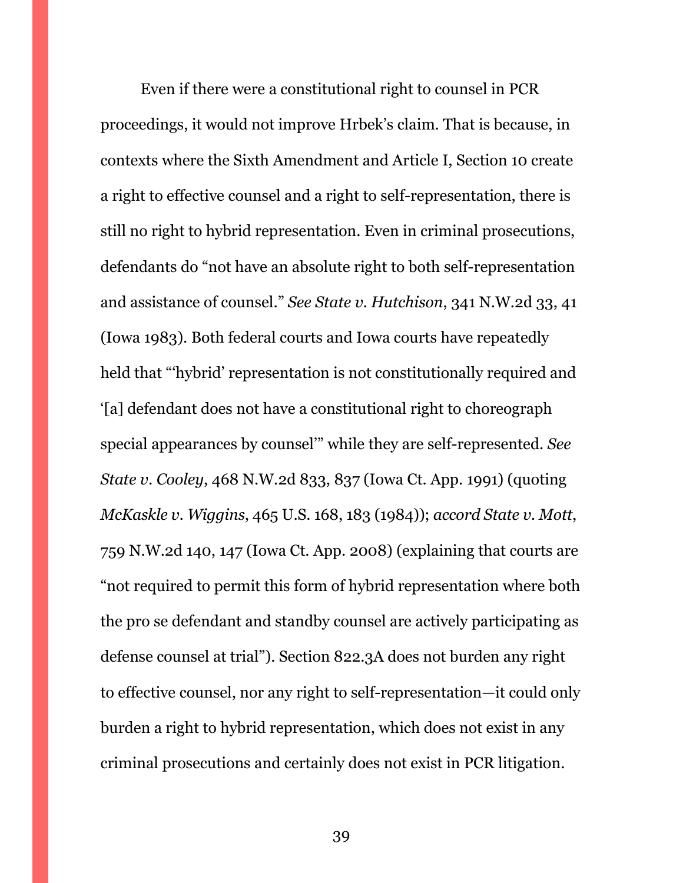Even if there were a constitutional right to counsel in PCR proceedings, it would not improve Hrbek's claim. That is because, in contexts where the Sixth Amendment and Article I, Section 10 create a right to effective counsel and a right to self-representation, there is still no right to hybrid representation. Even in criminal prosecutions, defendants do "not have an absolute right to both self-representation and assistance of counsel." *See State v. Hutchison*, 341 N.W.2d 33, 41 (Iowa 1983). Both federal courts and Iowa courts have repeatedly held that "'hybrid' representation is not constitutionally required and '[a] defendant does not have a constitutional right to choreograph special appearances by counsel'" while they are self-represented. *See State v. Cooley*, 468 N.W.2d 833, 837 (Iowa Ct. App. 1991) (quoting *McKaskle v. Wiggins*, 465 U.S. 168, 183 (1984)); *accord State v. Mott*, 759 N.W.2d 140, 147 (Iowa Ct. App. 2008) (explaining that courts are "not required to permit this form of hybrid representation where both the pro se defendant and standby counsel are actively participating as defense counsel at trial"). Section 822.3A does not burden any right to effective counsel, nor any right to self-representation—it could only burden a right to hybrid representation, which does not exist in any criminal prosecutions and certainly does not exist in PCR litigation.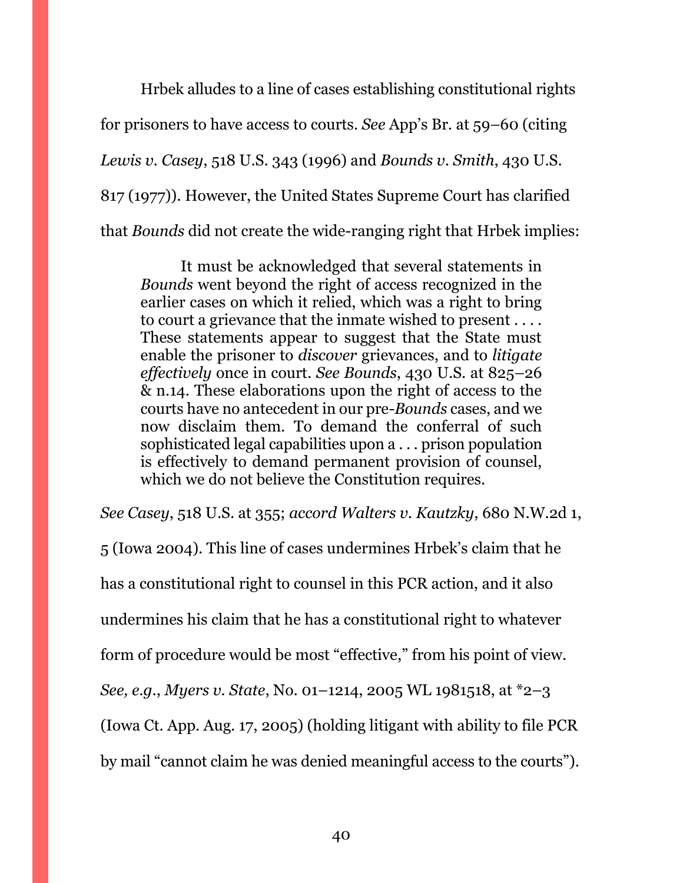Hrbek alludes to a line of cases establishing constitutional rights for prisoners to have access to courts. *See* App's Br. at 59–60 (citing *Lewis v. Casey*, 518 U.S. 343 (1996) and *Bounds v. Smith*, 430 U.S. 817 (1977)). However, the United States Supreme Court has clarified that *Bounds* did not create the wide-ranging right that Hrbek implies:

It must be acknowledged that several statements in *Bounds* went beyond the right of access recognized in the earlier cases on which it relied, which was a right to bring to court a grievance that the inmate wished to present . . . . These statements appear to suggest that the State must enable the prisoner to *discover* grievances, and to *litigate effectively* once in court. *See Bounds*, 430 U.S. at 825–26 & n.14. These elaborations upon the right of access to the courts have no antecedent in our pre-*Bounds* cases, and we now disclaim them. To demand the conferral of such sophisticated legal capabilities upon a . . . prison population is effectively to demand permanent provision of counsel, which we do not believe the Constitution requires.

*See Casey*, 518 U.S. at 355; *accord Walters v. Kautzky*, 680 N.W.2d 1,

5 (Iowa 2004). This line of cases undermines Hrbek's claim that he has a constitutional right to counsel in this PCR action, and it also undermines his claim that he has a constitutional right to whatever form of procedure would be most "effective," from his point of view. *See, e.g.*, *Myers v. State*, No. 01–1214, 2005 WL 1981518, at \*2–3 (Iowa Ct. App. Aug. 17, 2005) (holding litigant with ability to file PCR by mail "cannot claim he was denied meaningful access to the courts").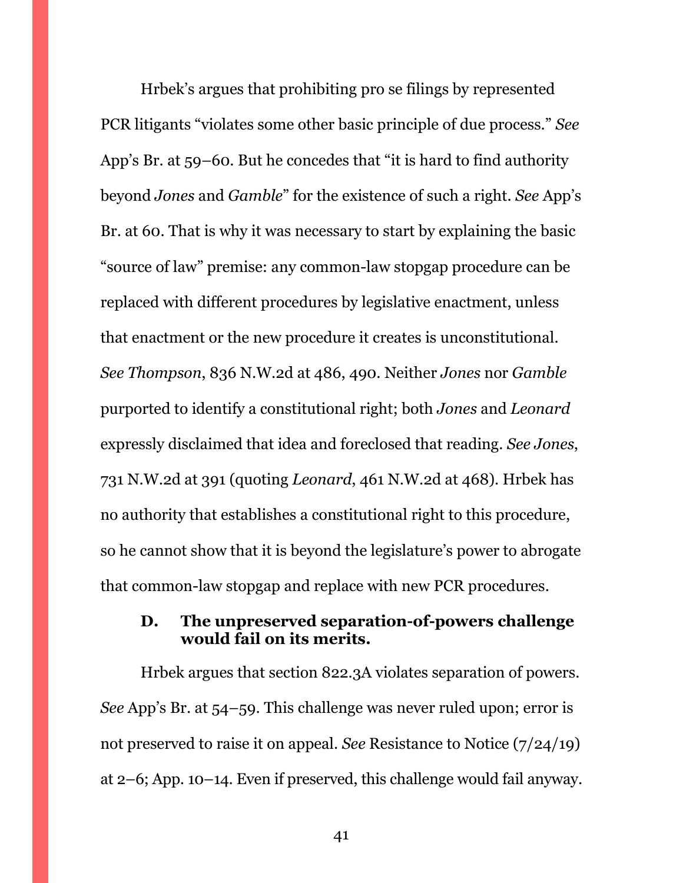Hrbek's argues that prohibiting pro se filings by represented PCR litigants "violates some other basic principle of due process." *See*  App's Br. at 59–60. But he concedes that "it is hard to find authority beyond *Jones* and *Gamble*" for the existence of such a right. *See* App's Br. at 60. That is why it was necessary to start by explaining the basic "source of law" premise: any common-law stopgap procedure can be replaced with different procedures by legislative enactment, unless that enactment or the new procedure it creates is unconstitutional. *See Thompson*, 836 N.W.2d at 486, 490. Neither *Jones* nor *Gamble*  purported to identify a constitutional right; both *Jones* and *Leonard* expressly disclaimed that idea and foreclosed that reading. *See Jones*, 731 N.W.2d at 391 (quoting *Leonard*, 461 N.W.2d at 468). Hrbek has no authority that establishes a constitutional right to this procedure, so he cannot show that it is beyond the legislature's power to abrogate that common-law stopgap and replace with new PCR procedures.

### <span id="page-40-0"></span>**D. The unpreserved separation-of-powers challenge would fail on its merits.**

Hrbek argues that section 822.3A violates separation of powers. *See* App's Br. at 54–59. This challenge was never ruled upon; error is not preserved to raise it on appeal. *See* Resistance to Notice (7/24/19) at 2–6; App. 10–14. Even if preserved, this challenge would fail anyway.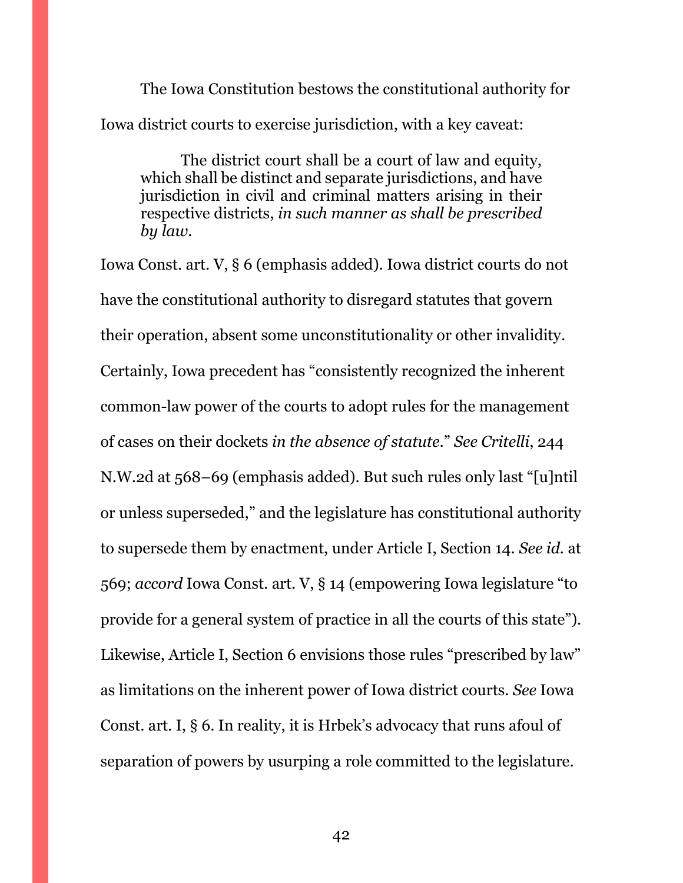The Iowa Constitution bestows the constitutional authority for Iowa district courts to exercise jurisdiction, with a key caveat:

The district court shall be a court of law and equity, which shall be distinct and separate jurisdictions, and have jurisdiction in civil and criminal matters arising in their respective districts, *in such manner as shall be prescribed by law*.

Iowa Const. art. V, § 6 (emphasis added). Iowa district courts do not have the constitutional authority to disregard statutes that govern their operation, absent some unconstitutionality or other invalidity. Certainly, Iowa precedent has "consistently recognized the inherent common-law power of the courts to adopt rules for the management of cases on their dockets *in the absence of statute*." *See Critelli*, 244 N.W.2d at 568–69 (emphasis added). But such rules only last "[u]ntil or unless superseded," and the legislature has constitutional authority to supersede them by enactment, under Article I, Section 14. *See id.* at 569; *accord* Iowa Const. art. V, § 14 (empowering Iowa legislature "to provide for a general system of practice in all the courts of this state"). Likewise, Article I, Section 6 envisions those rules "prescribed by law" as limitations on the inherent power of Iowa district courts. *See* Iowa Const. art. I, § 6. In reality, it is Hrbek's advocacy that runs afoul of separation of powers by usurping a role committed to the legislature.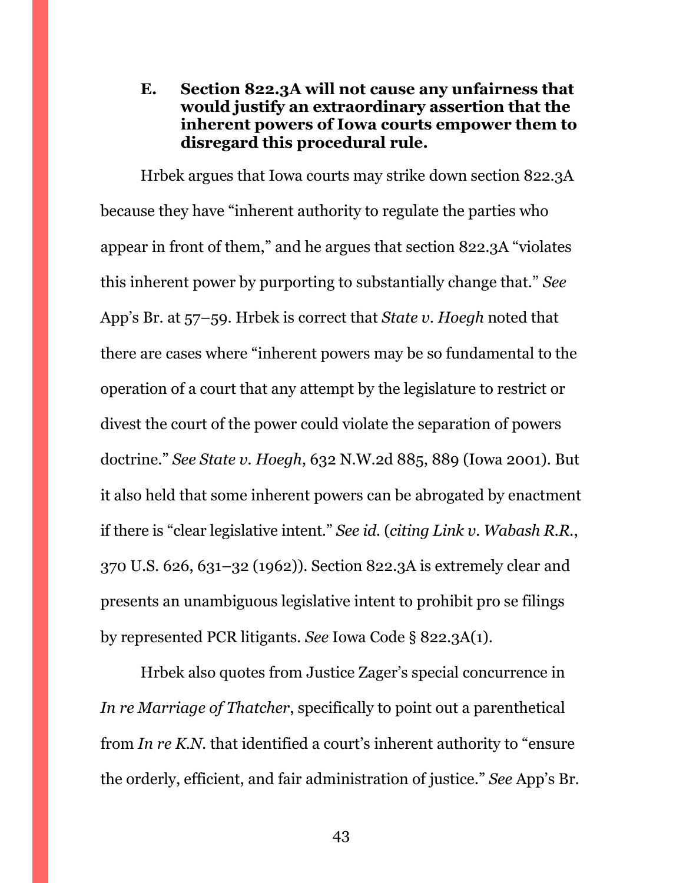<span id="page-42-0"></span>**E. Section 822.3A will not cause any unfairness that would justify an extraordinary assertion that the inherent powers of Iowa courts empower them to disregard this procedural rule.**

Hrbek argues that Iowa courts may strike down section 822.3A because they have "inherent authority to regulate the parties who appear in front of them," and he argues that section 822.3A "violates this inherent power by purporting to substantially change that." *See*  App's Br. at 57–59. Hrbek is correct that *State v. Hoegh* noted that there are cases where "inherent powers may be so fundamental to the operation of a court that any attempt by the legislature to restrict or divest the court of the power could violate the separation of powers doctrine." *See State v. Hoegh*, 632 N.W.2d 885, 889 (Iowa 2001). But it also held that some inherent powers can be abrogated by enactment if there is "clear legislative intent." *See id.* (*citing Link v. Wabash R.R.*, 370 U.S. 626, 631–32 (1962)). Section 822.3A is extremely clear and presents an unambiguous legislative intent to prohibit pro se filings by represented PCR litigants. *See* Iowa Code § 822.3A(1).

Hrbek also quotes from Justice Zager's special concurrence in *In re Marriage of Thatcher*, specifically to point out a parenthetical from *In re K.N.* that identified a court's inherent authority to "ensure the orderly, efficient, and fair administration of justice." *See* App's Br.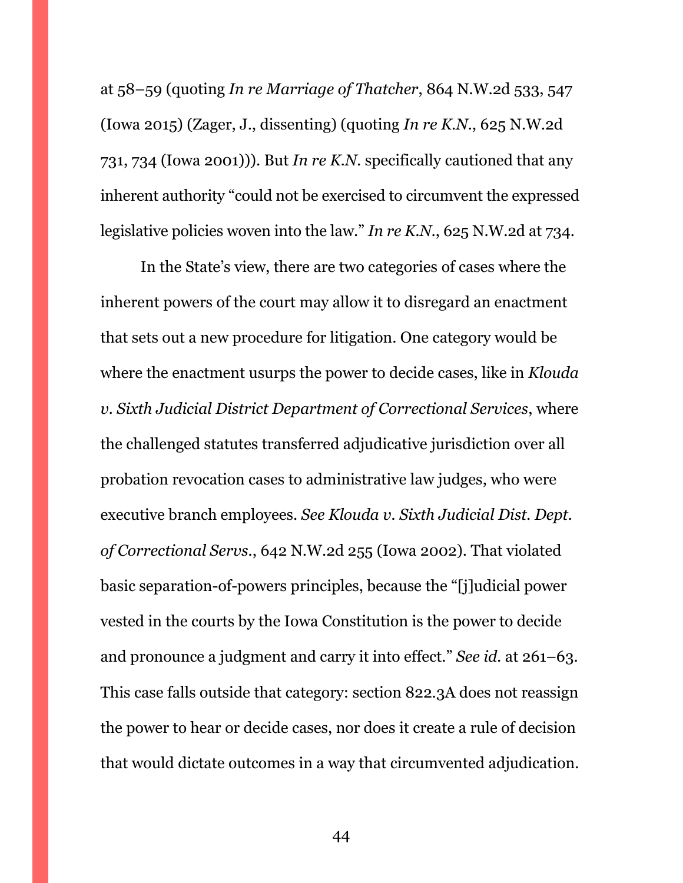at 58–59 (quoting *In re Marriage of Thatcher*, 864 N.W.2d 533, 547 (Iowa 2015) (Zager, J., dissenting) (quoting *In re K.N.*, 625 N.W.2d 731, 734 (Iowa 2001))). But *In re K.N.* specifically cautioned that any inherent authority "could not be exercised to circumvent the expressed legislative policies woven into the law." *In re K.N.*, 625 N.W.2d at 734.

In the State's view, there are two categories of cases where the inherent powers of the court may allow it to disregard an enactment that sets out a new procedure for litigation. One category would be where the enactment usurps the power to decide cases, like in *Klouda v. Sixth Judicial District Department of Correctional Services*, where the challenged statutes transferred adjudicative jurisdiction over all probation revocation cases to administrative law judges, who were executive branch employees. *See Klouda v. Sixth Judicial Dist. Dept. of Correctional Servs.*, 642 N.W.2d 255 (Iowa 2002). That violated basic separation-of-powers principles, because the "[j]udicial power vested in the courts by the Iowa Constitution is the power to decide and pronounce a judgment and carry it into effect." *See id.* at 261–63. This case falls outside that category: section 822.3A does not reassign the power to hear or decide cases, nor does it create a rule of decision that would dictate outcomes in a way that circumvented adjudication.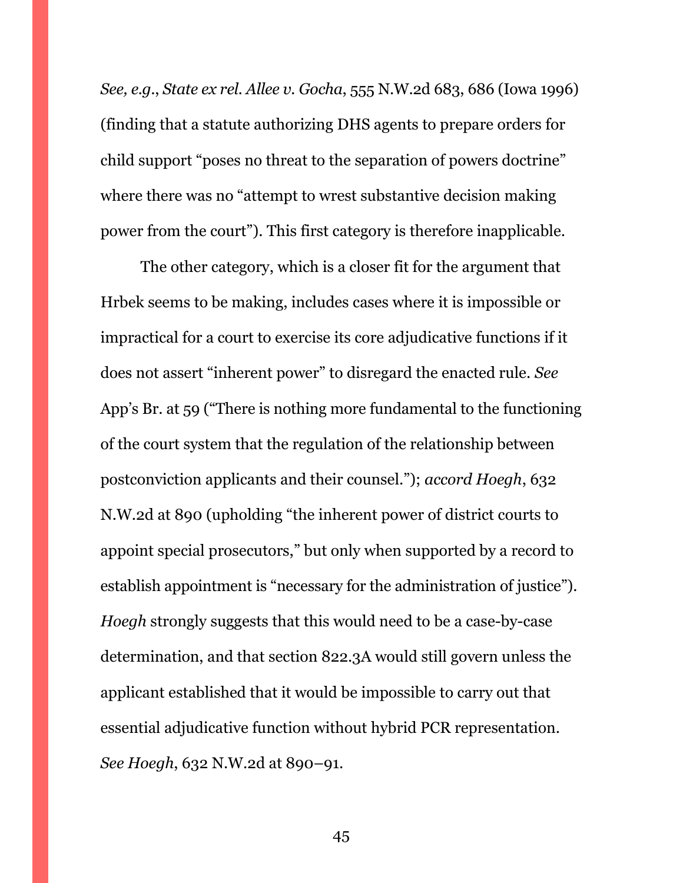*See, e.g.*, *State ex rel. Allee v. Gocha*, 555 N.W.2d 683, 686 (Iowa 1996) (finding that a statute authorizing DHS agents to prepare orders for child support "poses no threat to the separation of powers doctrine" where there was no "attempt to wrest substantive decision making power from the court"). This first category is therefore inapplicable.

The other category, which is a closer fit for the argument that Hrbek seems to be making, includes cases where it is impossible or impractical for a court to exercise its core adjudicative functions if it does not assert "inherent power" to disregard the enacted rule. *See*  App's Br. at 59 ("There is nothing more fundamental to the functioning of the court system that the regulation of the relationship between postconviction applicants and their counsel."); *accord Hoegh*, 632 N.W.2d at 890 (upholding "the inherent power of district courts to appoint special prosecutors," but only when supported by a record to establish appointment is "necessary for the administration of justice"). *Hoegh* strongly suggests that this would need to be a case-by-case determination, and that section 822.3A would still govern unless the applicant established that it would be impossible to carry out that essential adjudicative function without hybrid PCR representation. *See Hoegh*, 632 N.W.2d at 890–91.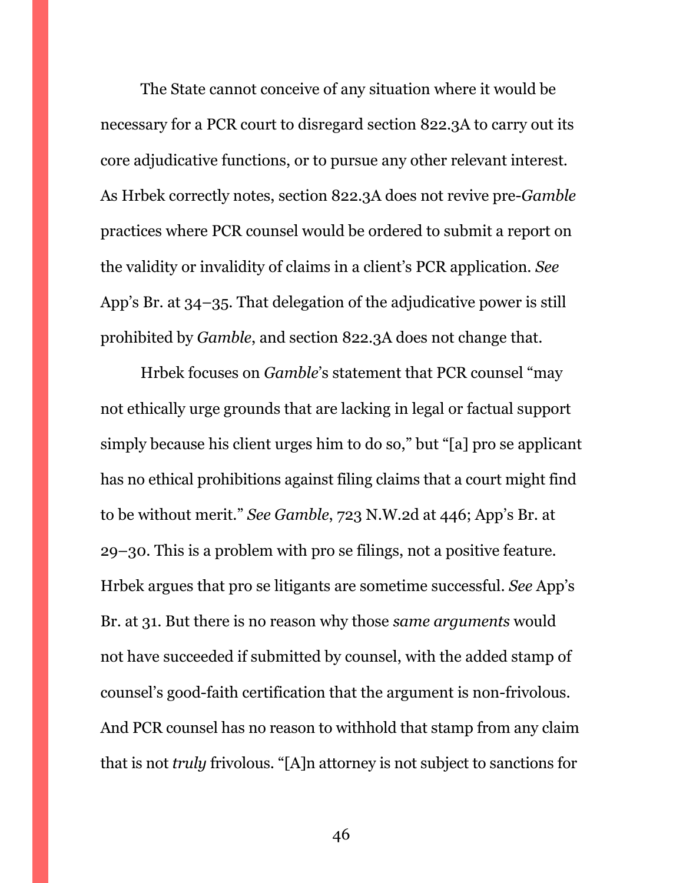The State cannot conceive of any situation where it would be necessary for a PCR court to disregard section 822.3A to carry out its core adjudicative functions, or to pursue any other relevant interest. As Hrbek correctly notes, section 822.3A does not revive pre-*Gamble*  practices where PCR counsel would be ordered to submit a report on the validity or invalidity of claims in a client's PCR application. *See*  App's Br. at 34–35. That delegation of the adjudicative power is still prohibited by *Gamble*, and section 822.3A does not change that.

Hrbek focuses on *Gamble*'s statement that PCR counsel "may not ethically urge grounds that are lacking in legal or factual support simply because his client urges him to do so," but "[a] pro se applicant has no ethical prohibitions against filing claims that a court might find to be without merit." *See Gamble*, 723 N.W.2d at 446; App's Br. at 29–30. This is a problem with pro se filings, not a positive feature. Hrbek argues that pro se litigants are sometime successful. *See* App's Br. at 31. But there is no reason why those *same arguments* would not have succeeded if submitted by counsel, with the added stamp of counsel's good-faith certification that the argument is non-frivolous. And PCR counsel has no reason to withhold that stamp from any claim that is not *truly* frivolous. "[A]n attorney is not subject to sanctions for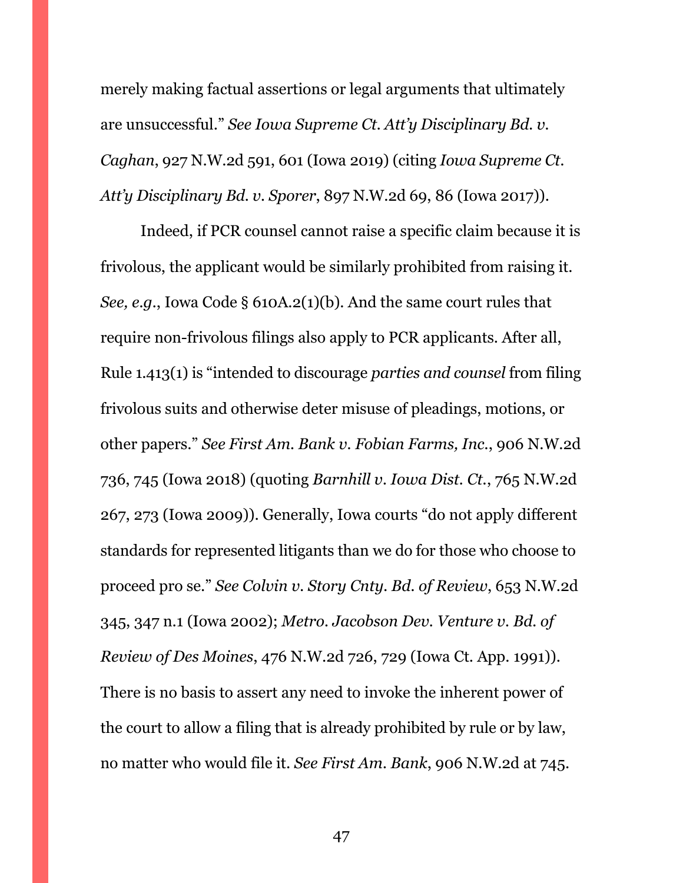merely making factual assertions or legal arguments that ultimately are unsuccessful." *See Iowa Supreme Ct. Att'y Disciplinary Bd. v. Caghan*, 927 N.W.2d 591, 601 (Iowa 2019) (citing *Iowa Supreme Ct. Att'y Disciplinary Bd. v. Sporer*, 897 N.W.2d 69, 86 (Iowa 2017)).

Indeed, if PCR counsel cannot raise a specific claim because it is frivolous, the applicant would be similarly prohibited from raising it. *See, e.g.*, Iowa Code § 610A.2(1)(b). And the same court rules that require non-frivolous filings also apply to PCR applicants. After all, Rule 1.413(1) is "intended to discourage *parties and counsel* from filing frivolous suits and otherwise deter misuse of pleadings, motions, or other papers." *See First Am. Bank v. Fobian Farms, Inc.*, 906 N.W.2d 736, 745 (Iowa 2018) (quoting *Barnhill v. Iowa Dist. Ct.*, 765 N.W.2d 267, 273 (Iowa 2009)). Generally, Iowa courts "do not apply different standards for represented litigants than we do for those who choose to proceed pro se." *See Colvin v. Story Cnty. Bd. of Review*, 653 N.W.2d 345, 347 n.1 (Iowa 2002); *Metro. Jacobson Dev. Venture v. Bd. of Review of Des Moines*, 476 N.W.2d 726, 729 (Iowa Ct. App. 1991)). There is no basis to assert any need to invoke the inherent power of the court to allow a filing that is already prohibited by rule or by law, no matter who would file it. *See First Am. Bank*, 906 N.W.2d at 745.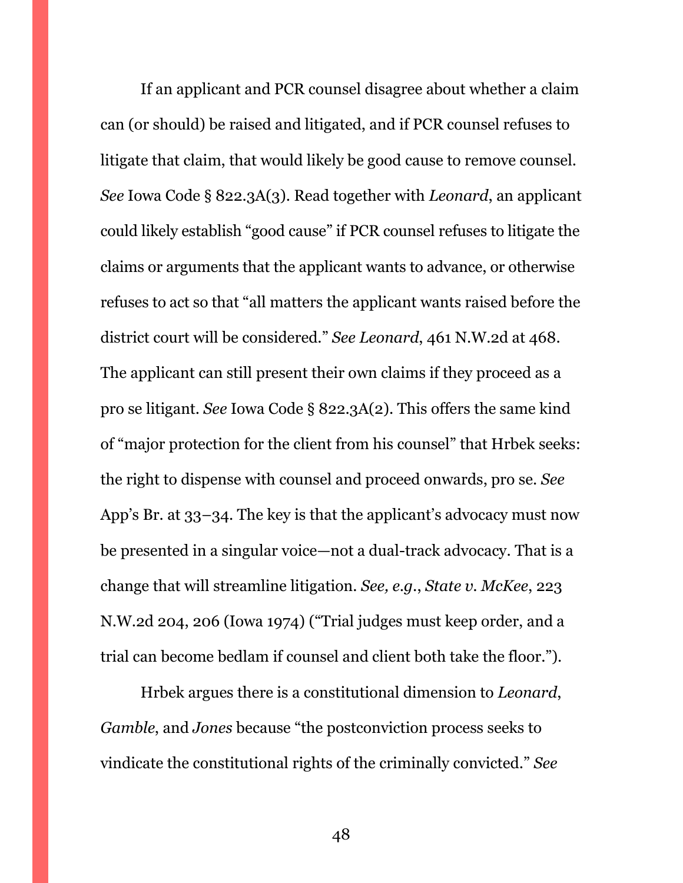If an applicant and PCR counsel disagree about whether a claim can (or should) be raised and litigated, and if PCR counsel refuses to litigate that claim, that would likely be good cause to remove counsel. *See* Iowa Code § 822.3A(3). Read together with *Leonard*, an applicant could likely establish "good cause" if PCR counsel refuses to litigate the claims or arguments that the applicant wants to advance, or otherwise refuses to act so that "all matters the applicant wants raised before the district court will be considered." *See Leonard*, 461 N.W.2d at 468. The applicant can still present their own claims if they proceed as a pro se litigant. *See* Iowa Code § 822.3A(2). This offers the same kind of "major protection for the client from his counsel" that Hrbek seeks: the right to dispense with counsel and proceed onwards, pro se. *See*  App's Br. at 33–34. The key is that the applicant's advocacy must now be presented in a singular voice—not a dual-track advocacy. That is a change that will streamline litigation. *See, e.g.*, *State v. McKee*, 223 N.W.2d 204, 206 (Iowa 1974) ("Trial judges must keep order, and a trial can become bedlam if counsel and client both take the floor.").

Hrbek argues there is a constitutional dimension to *Leonard*, *Gamble*, and *Jones* because "the postconviction process seeks to vindicate the constitutional rights of the criminally convicted." *See*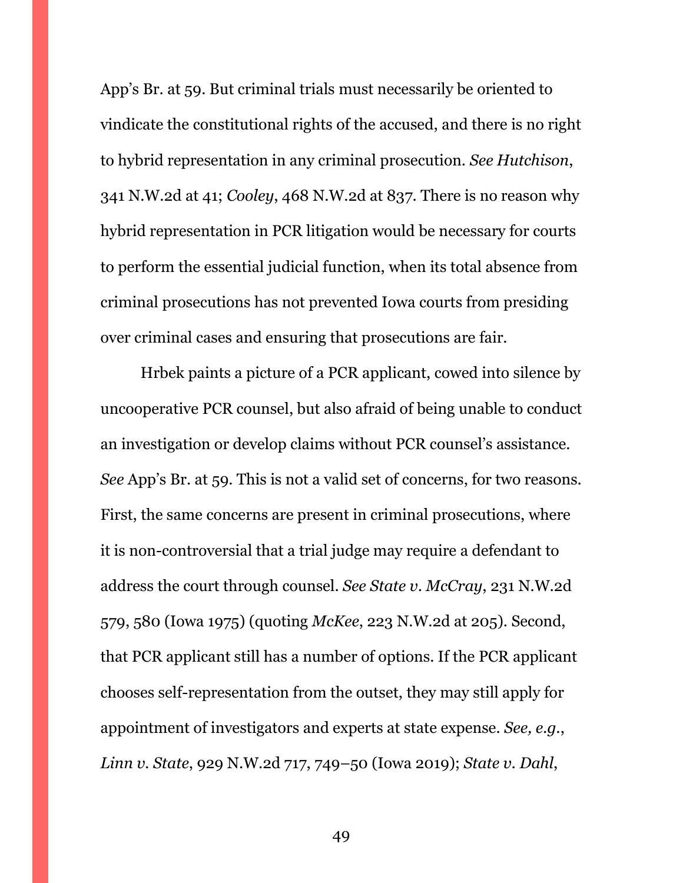App's Br. at 59. But criminal trials must necessarily be oriented to vindicate the constitutional rights of the accused, and there is no right to hybrid representation in any criminal prosecution. *See Hutchison*, 341 N.W.2d at 41; *Cooley*, 468 N.W.2d at 837. There is no reason why hybrid representation in PCR litigation would be necessary for courts to perform the essential judicial function, when its total absence from criminal prosecutions has not prevented Iowa courts from presiding over criminal cases and ensuring that prosecutions are fair.

Hrbek paints a picture of a PCR applicant, cowed into silence by uncooperative PCR counsel, but also afraid of being unable to conduct an investigation or develop claims without PCR counsel's assistance. *See* App's Br. at 59. This is not a valid set of concerns, for two reasons. First, the same concerns are present in criminal prosecutions, where it is non-controversial that a trial judge may require a defendant to address the court through counsel. *See State v. McCray*, 231 N.W.2d 579, 580 (Iowa 1975) (quoting *McKee*, 223 N.W.2d at 205). Second, that PCR applicant still has a number of options. If the PCR applicant chooses self-representation from the outset, they may still apply for appointment of investigators and experts at state expense. *See, e.g.*, *Linn v. State*, 929 N.W.2d 717, 749–50 (Iowa 2019); *State v. Dahl*,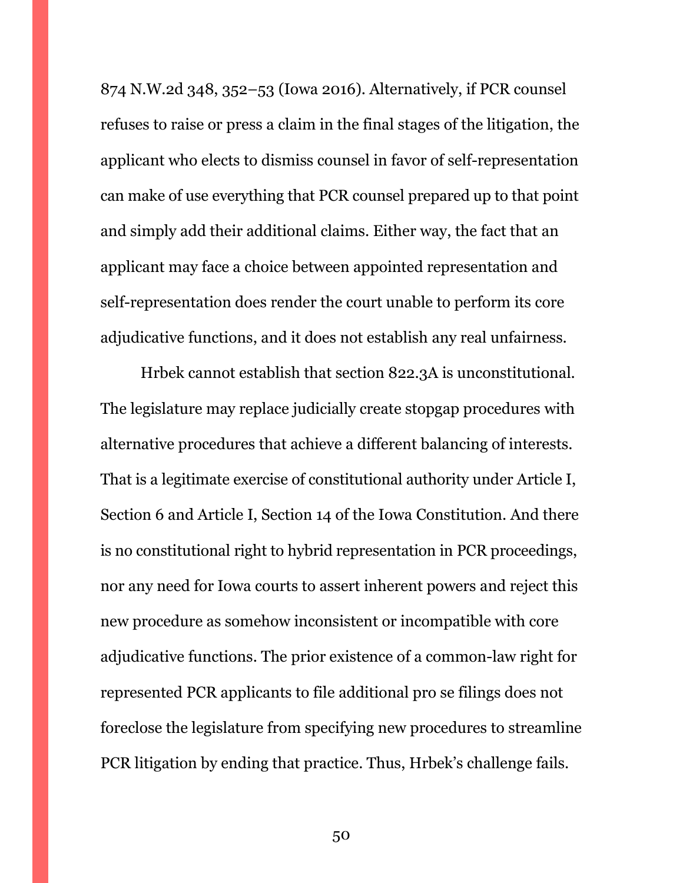874 N.W.2d 348, 352–53 (Iowa 2016). Alternatively, if PCR counsel refuses to raise or press a claim in the final stages of the litigation, the applicant who elects to dismiss counsel in favor of self-representation can make of use everything that PCR counsel prepared up to that point and simply add their additional claims. Either way, the fact that an applicant may face a choice between appointed representation and self-representation does render the court unable to perform its core adjudicative functions, and it does not establish any real unfairness.

Hrbek cannot establish that section 822.3A is unconstitutional. The legislature may replace judicially create stopgap procedures with alternative procedures that achieve a different balancing of interests. That is a legitimate exercise of constitutional authority under Article I, Section 6 and Article I, Section 14 of the Iowa Constitution. And there is no constitutional right to hybrid representation in PCR proceedings, nor any need for Iowa courts to assert inherent powers and reject this new procedure as somehow inconsistent or incompatible with core adjudicative functions. The prior existence of a common-law right for represented PCR applicants to file additional pro se filings does not foreclose the legislature from specifying new procedures to streamline PCR litigation by ending that practice. Thus, Hrbek's challenge fails.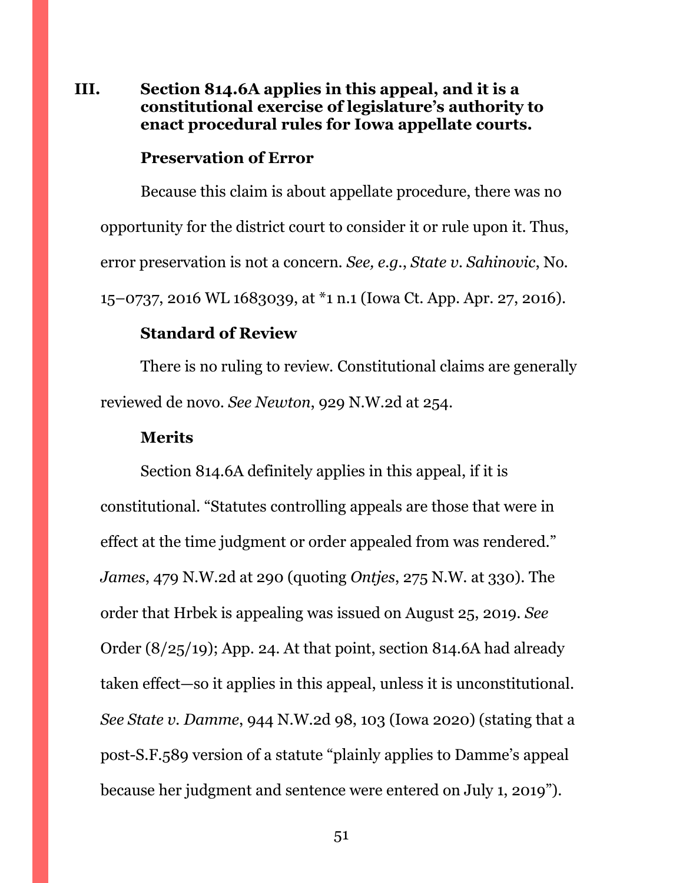### <span id="page-50-0"></span>**III. Section 814.6A applies in this appeal, and it is a constitutional exercise of legislature's authority to enact procedural rules for Iowa appellate courts.**

#### **Preservation of Error**

Because this claim is about appellate procedure, there was no opportunity for the district court to consider it or rule upon it. Thus, error preservation is not a concern. *See, e.g.*, *State v. Sahinovic*, No. 15–0737, 2016 WL 1683039, at \*1 n.1 (Iowa Ct. App. Apr. 27, 2016).

#### **Standard of Review**

There is no ruling to review. Constitutional claims are generally reviewed de novo. *See Newton*, 929 N.W.2d at 254.

#### **Merits**

Section 814.6A definitely applies in this appeal, if it is constitutional. "Statutes controlling appeals are those that were in effect at the time judgment or order appealed from was rendered." *James*, 479 N.W.2d at 290 (quoting *Ontjes*, 275 N.W. at 330). The order that Hrbek is appealing was issued on August 25, 2019. *See*  Order (8/25/19); App. 24. At that point, section 814.6A had already taken effect—so it applies in this appeal, unless it is unconstitutional. *See State v. Damme*, 944 N.W.2d 98, 103 (Iowa 2020) (stating that a post-S.F.589 version of a statute "plainly applies to Damme's appeal because her judgment and sentence were entered on July 1, 2019").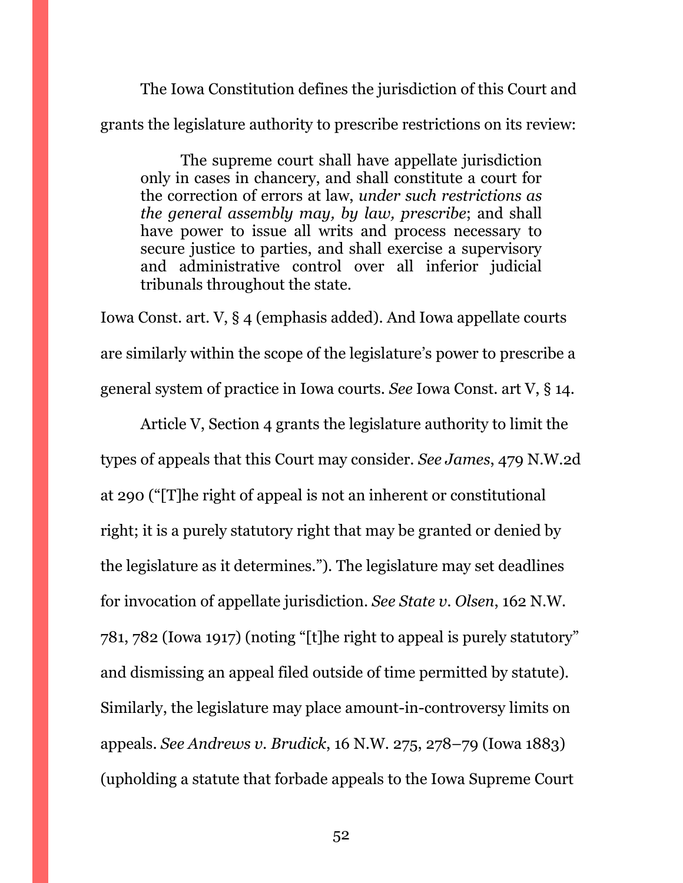The Iowa Constitution defines the jurisdiction of this Court and grants the legislature authority to prescribe restrictions on its review:

The supreme court shall have appellate jurisdiction only in cases in chancery, and shall constitute a court for the correction of errors at law, *under such restrictions as the general assembly may, by law, prescribe*; and shall have power to issue all writs and process necessary to secure justice to parties, and shall exercise a supervisory and administrative control over all inferior judicial tribunals throughout the state.

Iowa Const. art. V, § 4 (emphasis added). And Iowa appellate courts are similarly within the scope of the legislature's power to prescribe a general system of practice in Iowa courts. *See* Iowa Const. art V, § 14.

Article V, Section 4 grants the legislature authority to limit the types of appeals that this Court may consider. *See James*, 479 N.W.2d at 290 ("[T]he right of appeal is not an inherent or constitutional right; it is a purely statutory right that may be granted or denied by the legislature as it determines."). The legislature may set deadlines for invocation of appellate jurisdiction. *See State v. Olsen*, 162 N.W. 781, 782 (Iowa 1917) (noting "[t]he right to appeal is purely statutory" and dismissing an appeal filed outside of time permitted by statute). Similarly, the legislature may place amount-in-controversy limits on appeals. *See Andrews v. Brudick*, 16 N.W. 275, 278–79 (Iowa 1883) (upholding a statute that forbade appeals to the Iowa Supreme Court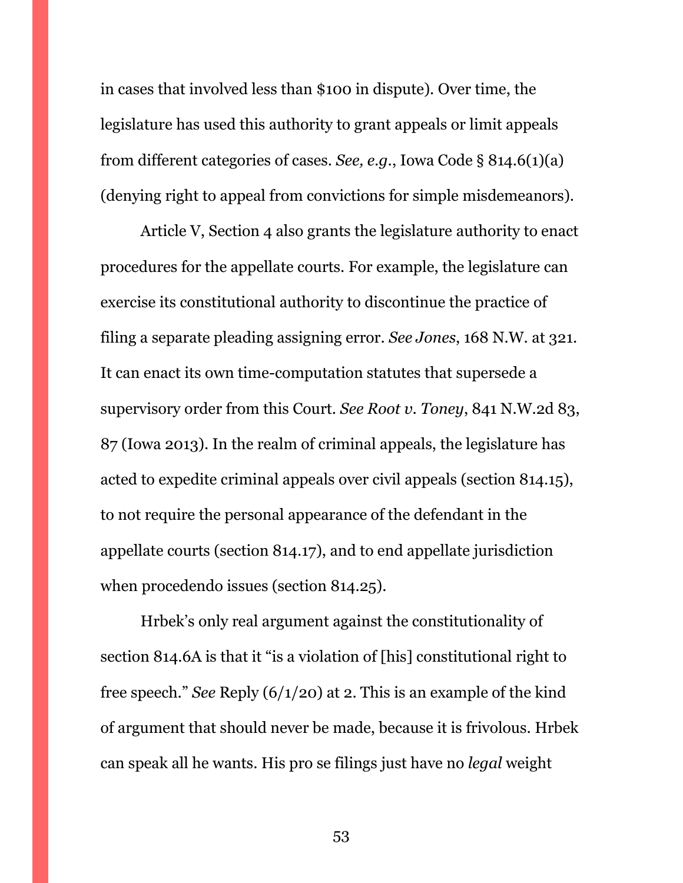in cases that involved less than \$100 in dispute). Over time, the legislature has used this authority to grant appeals or limit appeals from different categories of cases. *See, e.g.*, Iowa Code § 814.6(1)(a) (denying right to appeal from convictions for simple misdemeanors).

Article V, Section 4 also grants the legislature authority to enact procedures for the appellate courts. For example, the legislature can exercise its constitutional authority to discontinue the practice of filing a separate pleading assigning error. *See Jones*, 168 N.W. at 321. It can enact its own time-computation statutes that supersede a supervisory order from this Court. *See Root v. Toney*, 841 N.W.2d 83, 87 (Iowa 2013). In the realm of criminal appeals, the legislature has acted to expedite criminal appeals over civil appeals (section 814.15), to not require the personal appearance of the defendant in the appellate courts (section 814.17), and to end appellate jurisdiction when procedendo issues (section 814.25).

Hrbek's only real argument against the constitutionality of section 814.6A is that it "is a violation of [his] constitutional right to free speech." *See* Reply (6/1/20) at 2. This is an example of the kind of argument that should never be made, because it is frivolous. Hrbek can speak all he wants. His pro se filings just have no *legal* weight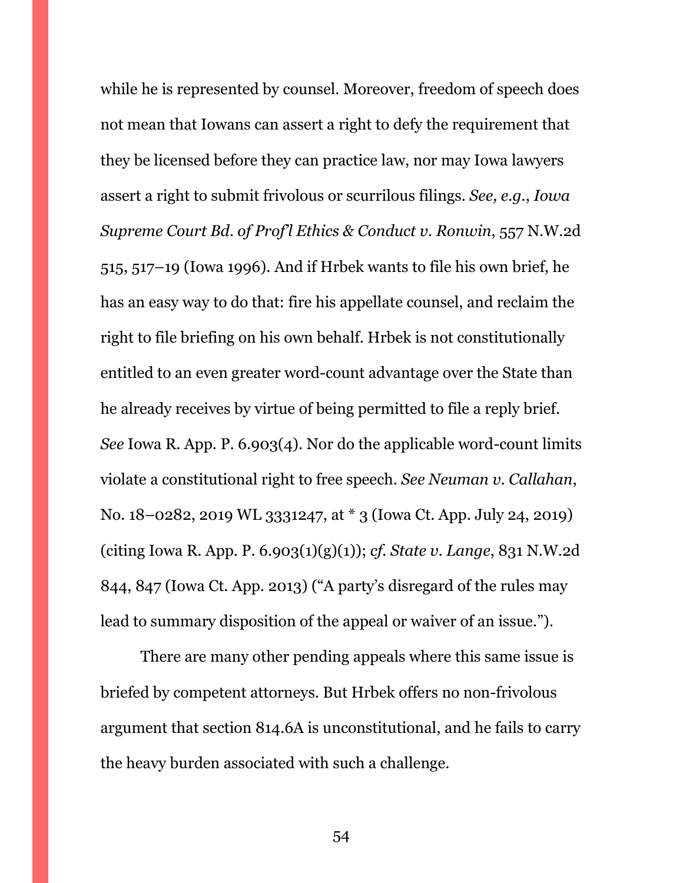while he is represented by counsel. Moreover, freedom of speech does not mean that Iowans can assert a right to defy the requirement that they be licensed before they can practice law, nor may Iowa lawyers assert a right to submit frivolous or scurrilous filings. *See, e.g.*, *Iowa Supreme Court Bd. of Prof'l Ethics & Conduct v. Ronwin*, 557 N.W.2d 515, 517–19 (Iowa 1996). And if Hrbek wants to file his own brief, he has an easy way to do that: fire his appellate counsel, and reclaim the right to file briefing on his own behalf. Hrbek is not constitutionally entitled to an even greater word-count advantage over the State than he already receives by virtue of being permitted to file a reply brief. *See* Iowa R. App. P. 6.903(4). Nor do the applicable word-count limits violate a constitutional right to free speech. *See Neuman v. Callahan*, No. 18–0282, 2019 WL 3331247, at \* 3 (Iowa Ct. App. July 24, 2019) (citing Iowa R. App. P. 6.903(1)(g)(1)); *cf. State v. Lange*, 831 N.W.2d 844, 847 (Iowa Ct. App. 2013) ("A party's disregard of the rules may lead to summary disposition of the appeal or waiver of an issue.").

There are many other pending appeals where this same issue is briefed by competent attorneys. But Hrbek offers no non-frivolous argument that section 814.6A is unconstitutional, and he fails to carry the heavy burden associated with such a challenge.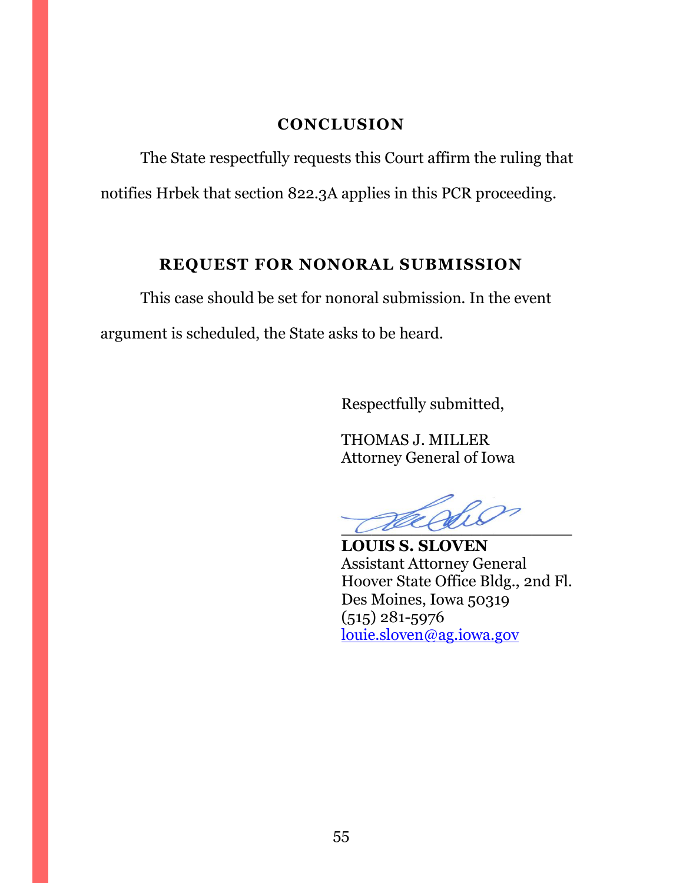### **CONCLUSION**

<span id="page-54-0"></span>The State respectfully requests this Court affirm the ruling that notifies Hrbek that section 822.3A applies in this PCR proceeding.

# **REQUEST FOR NONORAL SUBMISSION**

<span id="page-54-1"></span>This case should be set for nonoral submission. In the event argument is scheduled, the State asks to be heard.

Respectfully submitted,

THOMAS J. MILLER Attorney General of Iowa

 $\overline{\mathcal{L}}$ 

**LOUIS S. SLOVEN** Assistant Attorney General Hoover State Office Bldg., 2nd Fl. Des Moines, Iowa 50319 (515) 281-5976 [louie.sloven@ag.iowa.gov](mailto:louie.sloven@ag.iowa.gov)